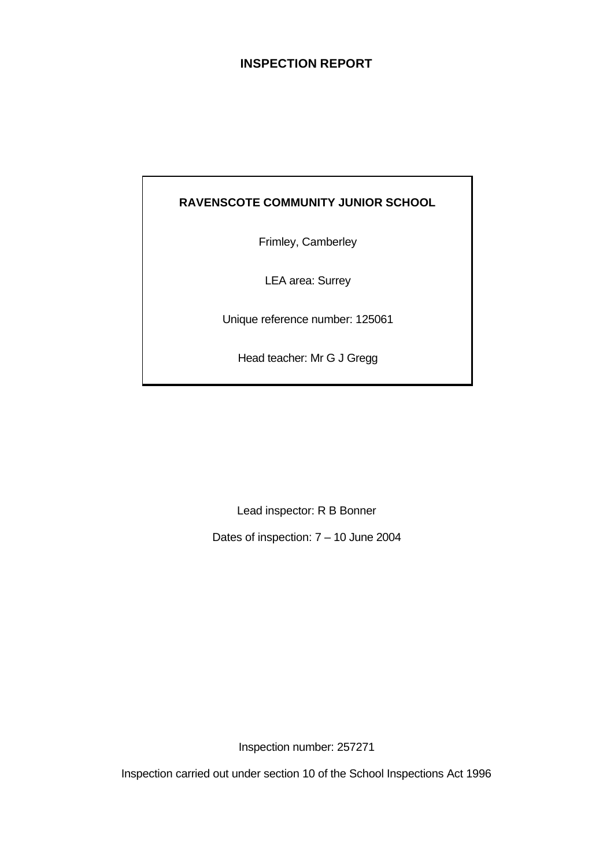## **INSPECTION REPORT**

## **RAVENSCOTE COMMUNITY JUNIOR SCHOOL**

Frimley, Camberley

LEA area: Surrey

Unique reference number: 125061

Head teacher: Mr G J Gregg

Lead inspector: R B Bonner

Dates of inspection: 7 – 10 June 2004

Inspection number: 257271

Inspection carried out under section 10 of the School Inspections Act 1996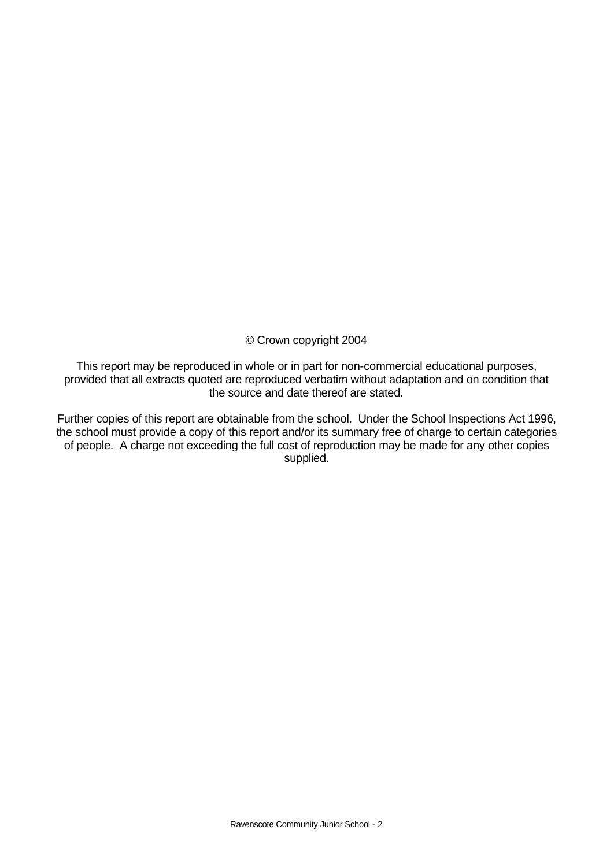### © Crown copyright 2004

This report may be reproduced in whole or in part for non-commercial educational purposes, provided that all extracts quoted are reproduced verbatim without adaptation and on condition that the source and date thereof are stated.

Further copies of this report are obtainable from the school. Under the School Inspections Act 1996, the school must provide a copy of this report and/or its summary free of charge to certain categories of people. A charge not exceeding the full cost of reproduction may be made for any other copies supplied.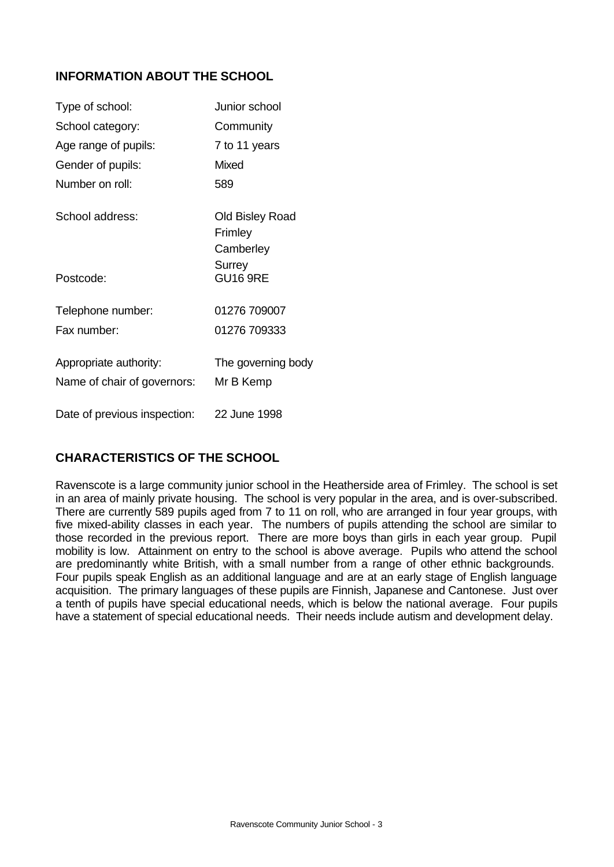## **INFORMATION ABOUT THE SCHOOL**

| Type of school:                                       | Junior school                           |
|-------------------------------------------------------|-----------------------------------------|
| School category:                                      | Community                               |
| Age range of pupils:                                  | 7 to 11 years                           |
| Gender of pupils:                                     | <b>Mixed</b>                            |
| Number on roll:                                       | 589                                     |
| School address:                                       | Old Bisley Road<br>Frimley<br>Camberley |
| Postcode:                                             | Surrey<br><b>GU16 9RE</b>               |
| Telephone number:                                     | 01276 709007                            |
| Fax number:                                           | 01276 709333                            |
| Appropriate authority:<br>Name of chair of governors: | The governing body<br>Mr B Kemp         |
| Date of previous inspection:                          | 22 June 1998                            |

## **CHARACTERISTICS OF THE SCHOOL**

Ravenscote is a large community junior school in the Heatherside area of Frimley. The school is set in an area of mainly private housing. The school is very popular in the area, and is over-subscribed. There are currently 589 pupils aged from 7 to 11 on roll, who are arranged in four year groups, with five mixed-ability classes in each year. The numbers of pupils attending the school are similar to those recorded in the previous report. There are more boys than girls in each year group. Pupil mobility is low. Attainment on entry to the school is above average. Pupils who attend the school are predominantly white British, with a small number from a range of other ethnic backgrounds. Four pupils speak English as an additional language and are at an early stage of English language acquisition. The primary languages of these pupils are Finnish, Japanese and Cantonese. Just over a tenth of pupils have special educational needs, which is below the national average. Four pupils have a statement of special educational needs. Their needs include autism and development delay.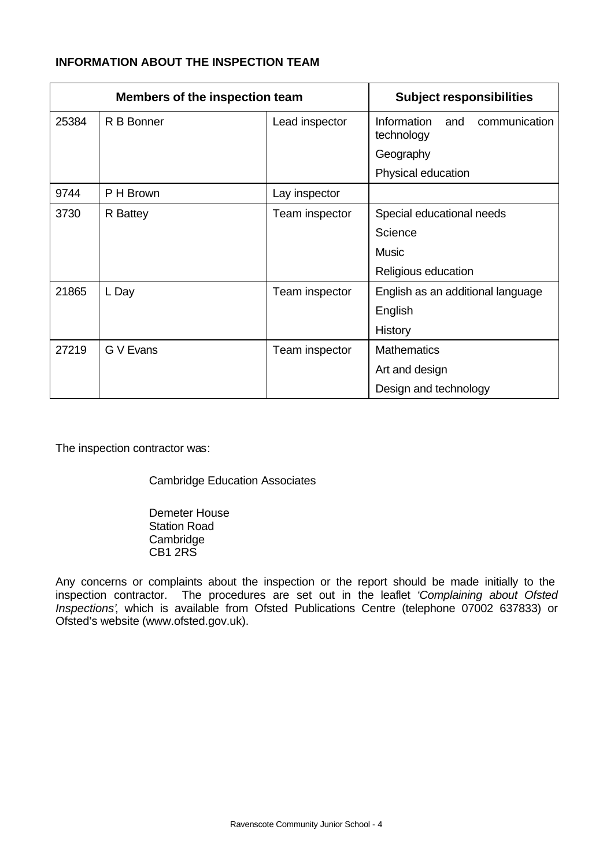## **INFORMATION ABOUT THE INSPECTION TEAM**

| <b>Members of the inspection team</b> |            |                | <b>Subject responsibilities</b>                   |
|---------------------------------------|------------|----------------|---------------------------------------------------|
| 25384                                 | R B Bonner | Lead inspector | Information<br>communication<br>and<br>technology |
|                                       |            |                | Geography                                         |
|                                       |            |                | Physical education                                |
| 9744                                  | P H Brown  | Lay inspector  |                                                   |
| 3730                                  | R Battey   | Team inspector | Special educational needs                         |
|                                       |            |                | Science                                           |
|                                       |            |                | <b>Music</b>                                      |
|                                       |            |                | Religious education                               |
| 21865                                 | L Day      | Team inspector | English as an additional language                 |
|                                       |            |                | English                                           |
|                                       |            |                | History                                           |
| 27219                                 | G V Evans  | Team inspector | <b>Mathematics</b>                                |
|                                       |            |                | Art and design                                    |
|                                       |            |                | Design and technology                             |

The inspection contractor was:

Cambridge Education Associates

Demeter House Station Road **Cambridge** CB1 2RS

Any concerns or complaints about the inspection or the report should be made initially to the inspection contractor. The procedures are set out in the leaflet *'Complaining about Ofsted Inspections'*, which is available from Ofsted Publications Centre (telephone 07002 637833) or Ofsted's website (www.ofsted.gov.uk).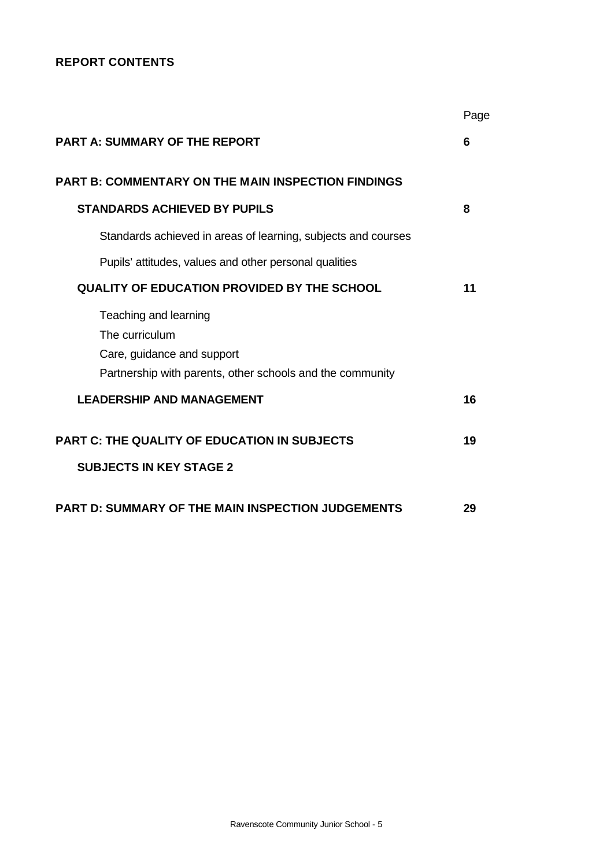### **REPORT CONTENTS**

|                                                               | Page |
|---------------------------------------------------------------|------|
| <b>PART A: SUMMARY OF THE REPORT</b>                          | 6    |
| <b>PART B: COMMENTARY ON THE MAIN INSPECTION FINDINGS</b>     |      |
| <b>STANDARDS ACHIEVED BY PUPILS</b>                           | 8    |
| Standards achieved in areas of learning, subjects and courses |      |
| Pupils' attitudes, values and other personal qualities        |      |
| <b>QUALITY OF EDUCATION PROVIDED BY THE SCHOOL</b>            | 11   |
| Teaching and learning                                         |      |
| The curriculum                                                |      |
| Care, guidance and support                                    |      |
| Partnership with parents, other schools and the community     |      |
| <b>LEADERSHIP AND MANAGEMENT</b>                              | 16   |
| <b>PART C: THE QUALITY OF EDUCATION IN SUBJECTS</b>           | 19   |
| <b>SUBJECTS IN KEY STAGE 2</b>                                |      |
| PART D: SUMMARY OF THE MAIN INSPECTION JUDGEMENTS             | 29   |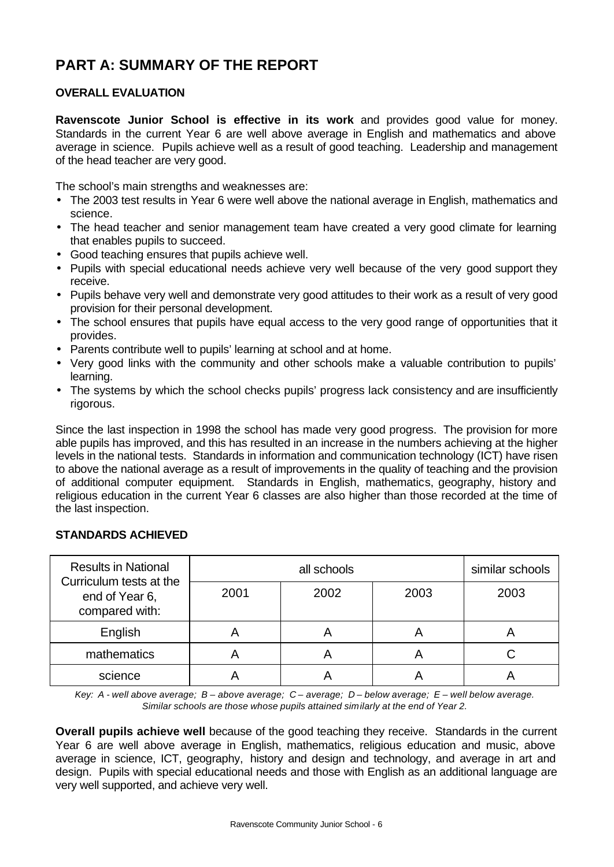# **PART A: SUMMARY OF THE REPORT**

## **OVERALL EVALUATION**

**Ravenscote Junior School is effective in its work** and provides good value for money. Standards in the current Year 6 are well above average in English and mathematics and above average in science. Pupils achieve well as a result of good teaching. Leadership and management of the head teacher are very good.

The school's main strengths and weaknesses are:

- The 2003 test results in Year 6 were well above the national average in English, mathematics and science.
- The head teacher and senior management team have created a very good climate for learning that enables pupils to succeed.
- Good teaching ensures that pupils achieve well.
- Pupils with special educational needs achieve very well because of the very good support they receive.
- Pupils behave very well and demonstrate very good attitudes to their work as a result of very good provision for their personal development.
- The school ensures that pupils have equal access to the very good range of opportunities that it provides.
- Parents contribute well to pupils' learning at school and at home.
- Very good links with the community and other schools make a valuable contribution to pupils' learning.
- The systems by which the school checks pupils' progress lack consistency and are insufficiently rigorous.

Since the last inspection in 1998 the school has made very good progress. The provision for more able pupils has improved, and this has resulted in an increase in the numbers achieving at the higher levels in the national tests. Standards in information and communication technology (ICT) have risen to above the national average as a result of improvements in the quality of teaching and the provision of additional computer equipment. Standards in English, mathematics, geography, history and religious education in the current Year 6 classes are also higher than those recorded at the time of the last inspection.

| <b>Results in National</b>                                  |      | similar schools |      |      |
|-------------------------------------------------------------|------|-----------------|------|------|
| Curriculum tests at the<br>end of Year 6,<br>compared with: | 2001 | 2002            | 2003 | 2003 |
| English                                                     |      |                 | 宀    |      |
| mathematics                                                 |      |                 | 宀    |      |
| science                                                     |      |                 |      |      |

#### **STANDARDS ACHIEVED**

*Key: A - well above average; B – above average; C – average; D – below average; E – well below average. Similar schools are those whose pupils attained similarly at the end of Year 2.*

**Overall pupils achieve well** because of the good teaching they receive. Standards in the current Year 6 are well above average in English, mathematics, religious education and music, above average in science, ICT, geography, history and design and technology, and average in art and design. Pupils with special educational needs and those with English as an additional language are very well supported, and achieve very well.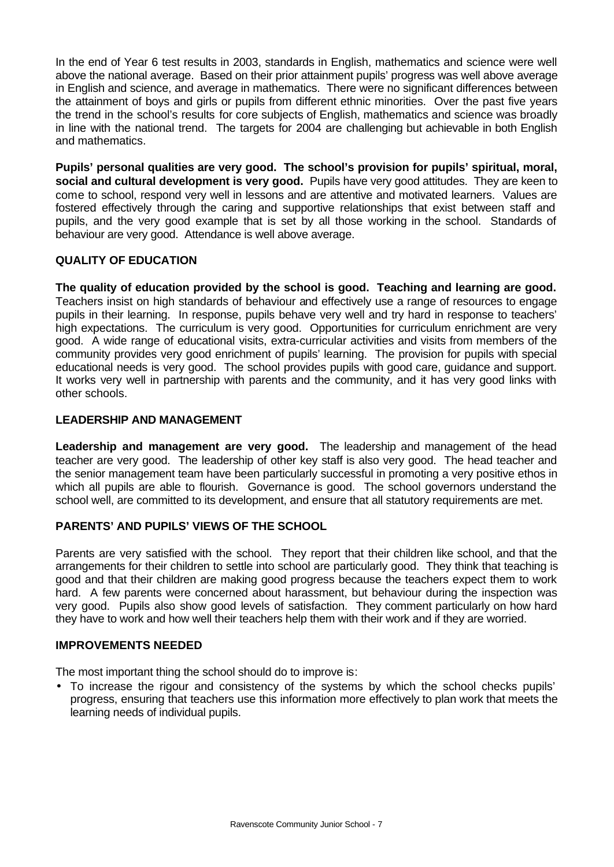In the end of Year 6 test results in 2003, standards in English, mathematics and science were well above the national average. Based on their prior attainment pupils' progress was well above average in English and science, and average in mathematics. There were no significant differences between the attainment of boys and girls or pupils from different ethnic minorities. Over the past five years the trend in the school's results for core subjects of English, mathematics and science was broadly in line with the national trend. The targets for 2004 are challenging but achievable in both English and mathematics.

**Pupils' personal qualities are very good. The school's provision for pupils' spiritual, moral, social and cultural development is very good.** Pupils have very good attitudes. They are keen to come to school, respond very well in lessons and are attentive and motivated learners. Values are fostered effectively through the caring and supportive relationships that exist between staff and pupils, and the very good example that is set by all those working in the school. Standards of behaviour are very good. Attendance is well above average.

### **QUALITY OF EDUCATION**

**The quality of education provided by the school is good. Teaching and learning are good.**  Teachers insist on high standards of behaviour and effectively use a range of resources to engage pupils in their learning. In response, pupils behave very well and try hard in response to teachers' high expectations. The curriculum is very good. Opportunities for curriculum enrichment are very good. A wide range of educational visits, extra-curricular activities and visits from members of the community provides very good enrichment of pupils' learning. The provision for pupils with special educational needs is very good. The school provides pupils with good care, guidance and support. It works very well in partnership with parents and the community, and it has very good links with other schools.

#### **LEADERSHIP AND MANAGEMENT**

**Leadership and management are very good.** The leadership and management of the head teacher are very good. The leadership of other key staff is also very good. The head teacher and the senior management team have been particularly successful in promoting a very positive ethos in which all pupils are able to flourish. Governance is good. The school governors understand the school well, are committed to its development, and ensure that all statutory requirements are met.

## **PARENTS' AND PUPILS' VIEWS OF THE SCHOOL**

Parents are very satisfied with the school. They report that their children like school, and that the arrangements for their children to settle into school are particularly good. They think that teaching is good and that their children are making good progress because the teachers expect them to work hard. A few parents were concerned about harassment, but behaviour during the inspection was very good. Pupils also show good levels of satisfaction.They comment particularly on how hard they have to work and how well their teachers help them with their work and if they are worried.

#### **IMPROVEMENTS NEEDED**

The most important thing the school should do to improve is:

• To increase the rigour and consistency of the systems by which the school checks pupils' progress, ensuring that teachers use this information more effectively to plan work that meets the learning needs of individual pupils.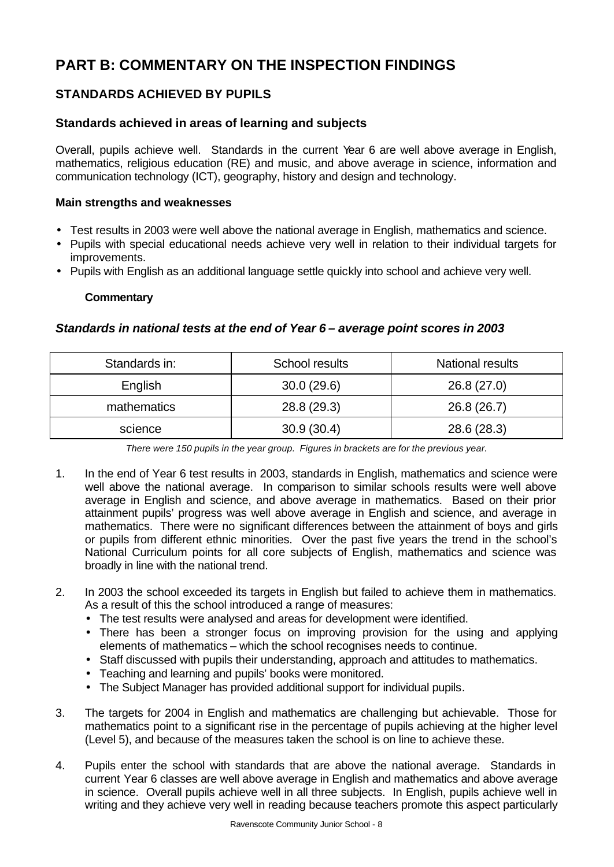# **PART B: COMMENTARY ON THE INSPECTION FINDINGS**

## **STANDARDS ACHIEVED BY PUPILS**

## **Standards achieved in areas of learning and subjects**

Overall, pupils achieve well. Standards in the current Year 6 are well above average in English, mathematics, religious education (RE) and music, and above average in science, information and communication technology (ICT), geography, history and design and technology.

#### **Main strengths and weaknesses**

- Test results in 2003 were well above the national average in English, mathematics and science.
- Pupils with special educational needs achieve very well in relation to their individual targets for improvements.
- Pupils with English as an additional language settle quickly into school and achieve very well.

#### **Commentary**

#### *Standards in national tests at the end of Year 6 – average point scores in 2003*

| Standards in: | School results | <b>National results</b> |
|---------------|----------------|-------------------------|
| English       | 30.0(29.6)     | 26.8 (27.0)             |
| mathematics   | 28.8 (29.3)    | 26.8(26.7)              |
| science       | 30.9(30.4)     | 28.6 (28.3)             |

*There were 150 pupils in the year group. Figures in brackets are for the previous year.*

- 1. In the end of Year 6 test results in 2003, standards in English, mathematics and science were well above the national average. In comparison to similar schools results were well above average in English and science, and above average in mathematics. Based on their prior attainment pupils' progress was well above average in English and science, and average in mathematics. There were no significant differences between the attainment of boys and girls or pupils from different ethnic minorities. Over the past five years the trend in the school's National Curriculum points for all core subjects of English, mathematics and science was broadly in line with the national trend.
- 2. In 2003 the school exceeded its targets in English but failed to achieve them in mathematics. As a result of this the school introduced a range of measures:
	- The test results were analysed and areas for development were identified.
	- There has been a stronger focus on improving provision for the using and applying elements of mathematics – which the school recognises needs to continue.
	- Staff discussed with pupils their understanding, approach and attitudes to mathematics.
	- Teaching and learning and pupils' books were monitored.
	- The Subject Manager has provided additional support for individual pupils.
- 3. The targets for 2004 in English and mathematics are challenging but achievable. Those for mathematics point to a significant rise in the percentage of pupils achieving at the higher level (Level 5), and because of the measures taken the school is on line to achieve these.
- 4. Pupils enter the school with standards that are above the national average. Standards in current Year 6 classes are well above average in English and mathematics and above average in science. Overall pupils achieve well in all three subjects. In English, pupils achieve well in writing and they achieve very well in reading because teachers promote this aspect particularly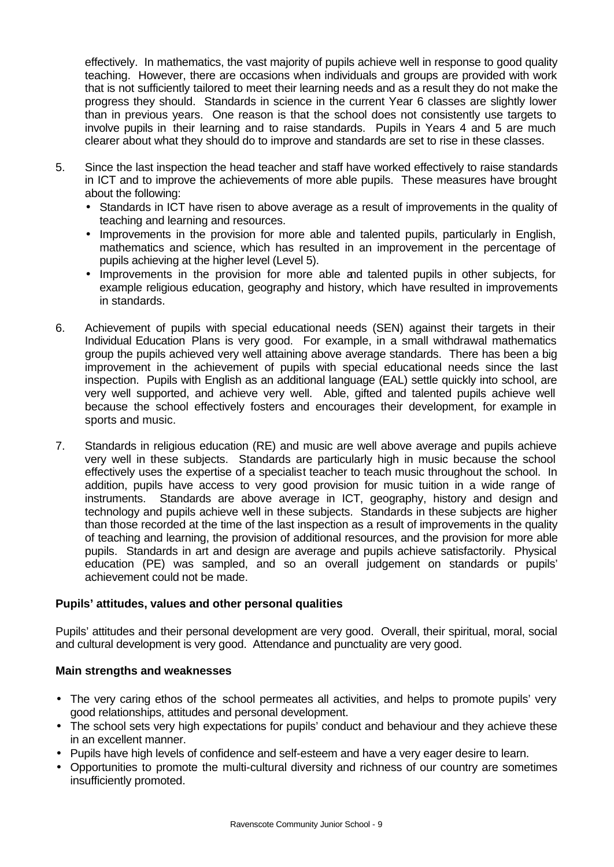effectively. In mathematics, the vast majority of pupils achieve well in response to good quality teaching. However, there are occasions when individuals and groups are provided with work that is not sufficiently tailored to meet their learning needs and as a result they do not make the progress they should. Standards in science in the current Year 6 classes are slightly lower than in previous years. One reason is that the school does not consistently use targets to involve pupils in their learning and to raise standards. Pupils in Years 4 and 5 are much clearer about what they should do to improve and standards are set to rise in these classes.

- 5. Since the last inspection the head teacher and staff have worked effectively to raise standards in ICT and to improve the achievements of more able pupils. These measures have brought about the following:
	- Standards in ICT have risen to above average as a result of improvements in the quality of teaching and learning and resources.
	- Improvements in the provision for more able and talented pupils, particularly in English, mathematics and science, which has resulted in an improvement in the percentage of pupils achieving at the higher level (Level 5).
	- Improvements in the provision for more able and talented pupils in other subjects, for example religious education, geography and history, which have resulted in improvements in standards.
- 6. Achievement of pupils with special educational needs (SEN) against their targets in their Individual Education Plans is very good. For example, in a small withdrawal mathematics group the pupils achieved very well attaining above average standards. There has been a big improvement in the achievement of pupils with special educational needs since the last inspection. Pupils with English as an additional language (EAL) settle quickly into school, are very well supported, and achieve very well. Able, gifted and talented pupils achieve well because the school effectively fosters and encourages their development, for example in sports and music.
- 7. Standards in religious education (RE) and music are well above average and pupils achieve very well in these subjects. Standards are particularly high in music because the school effectively uses the expertise of a specialist teacher to teach music throughout the school. In addition, pupils have access to very good provision for music tuition in a wide range of instruments. Standards are above average in ICT, geography, history and design and technology and pupils achieve well in these subjects. Standards in these subjects are higher than those recorded at the time of the last inspection as a result of improvements in the quality of teaching and learning, the provision of additional resources, and the provision for more able pupils. Standards in art and design are average and pupils achieve satisfactorily. Physical education (PE) was sampled, and so an overall judgement on standards or pupils' achievement could not be made.

#### **Pupils' attitudes, values and other personal qualities**

Pupils' attitudes and their personal development are very good. Overall, their spiritual, moral, social and cultural development is very good. Attendance and punctuality are very good.

#### **Main strengths and weaknesses**

- The very caring ethos of the school permeates all activities, and helps to promote pupils' very good relationships, attitudes and personal development.
- The school sets very high expectations for pupils' conduct and behaviour and they achieve these in an excellent manner.
- Pupils have high levels of confidence and self-esteem and have a very eager desire to learn.
- Opportunities to promote the multi-cultural diversity and richness of our country are sometimes insufficiently promoted.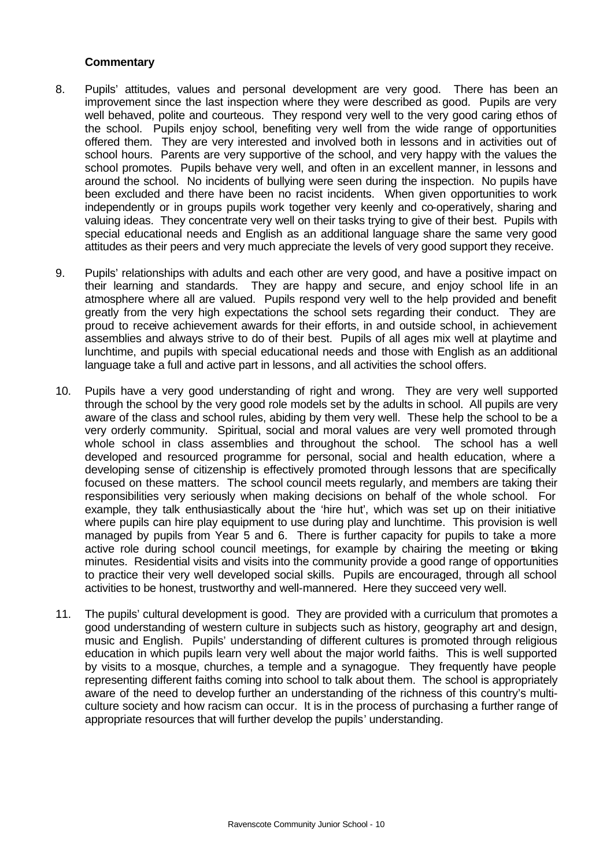- 8. Pupils' attitudes, values and personal development are very good. There has been an improvement since the last inspection where they were described as good. Pupils are very well behaved, polite and courteous. They respond very well to the very good caring ethos of the school. Pupils enjoy school, benefiting very well from the wide range of opportunities offered them. They are very interested and involved both in lessons and in activities out of school hours. Parents are very supportive of the school, and very happy with the values the school promotes. Pupils behave very well, and often in an excellent manner, in lessons and around the school. No incidents of bullying were seen during the inspection. No pupils have been excluded and there have been no racist incidents. When given opportunities to work independently or in groups pupils work together very keenly and co-operatively, sharing and valuing ideas. They concentrate very well on their tasks trying to give of their best. Pupils with special educational needs and English as an additional language share the same very good attitudes as their peers and very much appreciate the levels of very good support they receive.
- 9. Pupils' relationships with adults and each other are very good, and have a positive impact on their learning and standards. They are happy and secure, and enjoy school life in an atmosphere where all are valued. Pupils respond very well to the help provided and benefit greatly from the very high expectations the school sets regarding their conduct. They are proud to receive achievement awards for their efforts, in and outside school, in achievement assemblies and always strive to do of their best. Pupils of all ages mix well at playtime and lunchtime, and pupils with special educational needs and those with English as an additional language take a full and active part in lessons, and all activities the school offers.
- 10. Pupils have a very good understanding of right and wrong. They are very well supported through the school by the very good role models set by the adults in school. All pupils are very aware of the class and school rules, abiding by them very well. These help the school to be a very orderly community. Spiritual, social and moral values are very well promoted through whole school in class assemblies and throughout the school. The school has a well developed and resourced programme for personal, social and health education, where a developing sense of citizenship is effectively promoted through lessons that are specifically focused on these matters. The school council meets regularly, and members are taking their responsibilities very seriously when making decisions on behalf of the whole school. For example, they talk enthusiastically about the 'hire hut', which was set up on their initiative where pupils can hire play equipment to use during play and lunchtime. This provision is well managed by pupils from Year 5 and 6. There is further capacity for pupils to take a more active role during school council meetings, for example by chairing the meeting or taking minutes. Residential visits and visits into the community provide a good range of opportunities to practice their very well developed social skills. Pupils are encouraged, through all school activities to be honest, trustworthy and well-mannered. Here they succeed very well.
- 11. The pupils' cultural development is good. They are provided with a curriculum that promotes a good understanding of western culture in subjects such as history, geography art and design, music and English. Pupils' understanding of different cultures is promoted through religious education in which pupils learn very well about the major world faiths. This is well supported by visits to a mosque, churches, a temple and a synagogue. They frequently have people representing different faiths coming into school to talk about them. The school is appropriately aware of the need to develop further an understanding of the richness of this country's multiculture society and how racism can occur. It is in the process of purchasing a further range of appropriate resources that will further develop the pupils' understanding.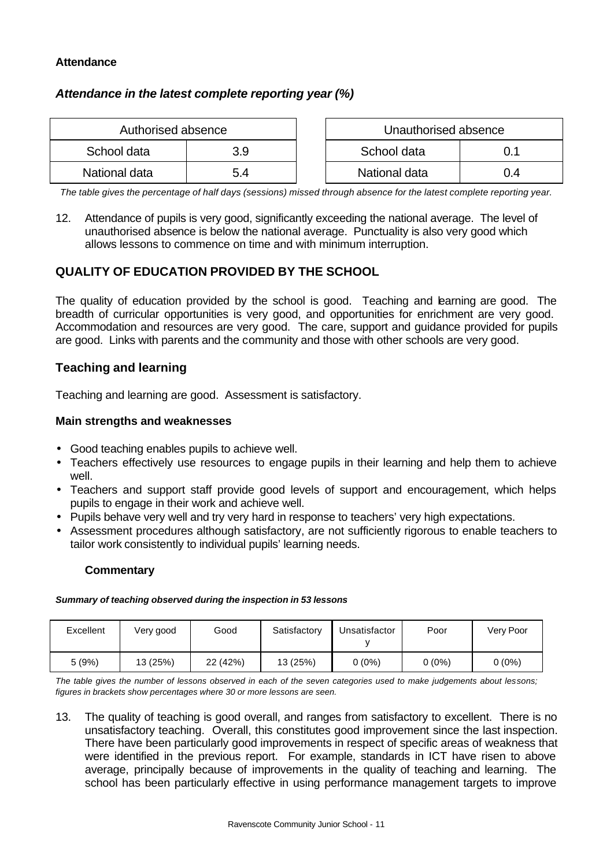#### **Attendance**

## *Attendance in the latest complete reporting year (%)*

| Authorised absence |     | Unauthorised absence |     |
|--------------------|-----|----------------------|-----|
| School data        | 3.9 | School data          |     |
| National data      | 5.4 | National data        | 0.4 |

*The table gives the percentage of half days (sessions) missed through absence for the latest complete reporting year.*

12. Attendance of pupils is very good, significantly exceeding the national average. The level of unauthorised absence is below the national average. Punctuality is also very good which allows lessons to commence on time and with minimum interruption.

## **QUALITY OF EDUCATION PROVIDED BY THE SCHOOL**

The quality of education provided by the school is good. Teaching and learning are good. The breadth of curricular opportunities is very good, and opportunities for enrichment are very good. Accommodation and resources are very good. The care, support and guidance provided for pupils are good. Links with parents and the community and those with other schools are very good.

## **Teaching and learning**

Teaching and learning are good. Assessment is satisfactory.

#### **Main strengths and weaknesses**

- Good teaching enables pupils to achieve well.
- Teachers effectively use resources to engage pupils in their learning and help them to achieve well.
- Teachers and support staff provide good levels of support and encouragement, which helps pupils to engage in their work and achieve well.
- Pupils behave very well and try very hard in response to teachers' very high expectations.
- Assessment procedures although satisfactory, are not sufficiently rigorous to enable teachers to tailor work consistently to individual pupils' learning needs.

#### **Commentary**

#### *Summary of teaching observed during the inspection in 53 lessons*

| Excellent | Very good | Good     | Satisfactory | Unsatisfactor | Poor   | Very Poor |
|-----------|-----------|----------|--------------|---------------|--------|-----------|
| 5(9%)     | 13 (25%)  | 22 (42%) | 13 (25%)     | $0(0\%)$      | 0 (0%) | $0(0\%)$  |

*The table gives the number of lessons observed in each of the seven categories used to make judgements about lessons; figures in brackets show percentages where 30 or more lessons are seen.*

13. The quality of teaching is good overall, and ranges from satisfactory to excellent. There is no unsatisfactory teaching. Overall, this constitutes good improvement since the last inspection. There have been particularly good improvements in respect of specific areas of weakness that were identified in the previous report. For example, standards in ICT have risen to above average, principally because of improvements in the quality of teaching and learning. The school has been particularly effective in using performance management targets to improve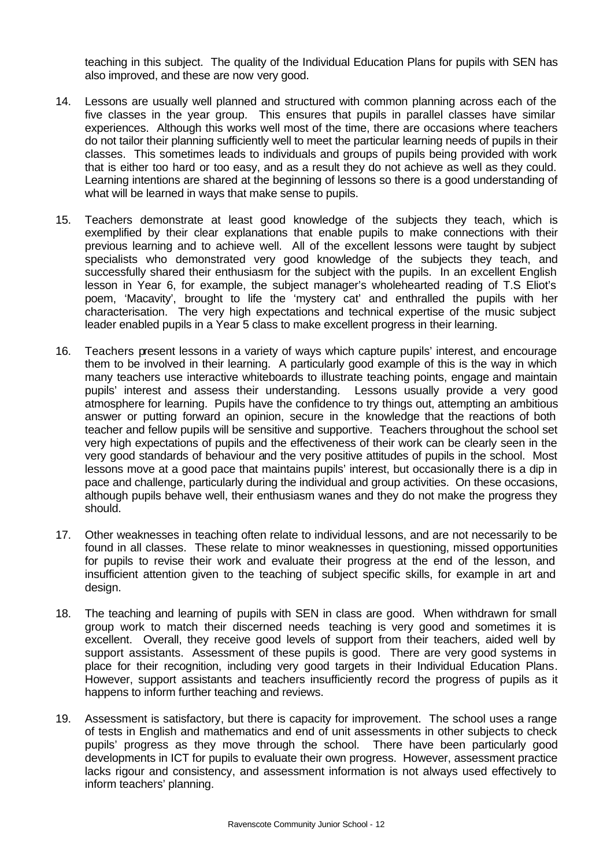teaching in this subject. The quality of the Individual Education Plans for pupils with SEN has also improved, and these are now very good.

- 14. Lessons are usually well planned and structured with common planning across each of the five classes in the year group. This ensures that pupils in parallel classes have similar experiences. Although this works well most of the time, there are occasions where teachers do not tailor their planning sufficiently well to meet the particular learning needs of pupils in their classes. This sometimes leads to individuals and groups of pupils being provided with work that is either too hard or too easy, and as a result they do not achieve as well as they could. Learning intentions are shared at the beginning of lessons so there is a good understanding of what will be learned in ways that make sense to pupils.
- 15. Teachers demonstrate at least good knowledge of the subjects they teach, which is exemplified by their clear explanations that enable pupils to make connections with their previous learning and to achieve well. All of the excellent lessons were taught by subject specialists who demonstrated very good knowledge of the subjects they teach, and successfully shared their enthusiasm for the subject with the pupils. In an excellent English lesson in Year 6, for example, the subject manager's wholehearted reading of T.S Eliot's poem, 'Macavity', brought to life the 'mystery cat' and enthralled the pupils with her characterisation. The very high expectations and technical expertise of the music subject leader enabled pupils in a Year 5 class to make excellent progress in their learning.
- 16. Teachers present lessons in a variety of ways which capture pupils' interest, and encourage them to be involved in their learning. A particularly good example of this is the way in which many teachers use interactive whiteboards to illustrate teaching points, engage and maintain pupils' interest and assess their understanding. Lessons usually provide a very good atmosphere for learning. Pupils have the confidence to try things out, attempting an ambitious answer or putting forward an opinion, secure in the knowledge that the reactions of both teacher and fellow pupils will be sensitive and supportive. Teachers throughout the school set very high expectations of pupils and the effectiveness of their work can be clearly seen in the very good standards of behaviour and the very positive attitudes of pupils in the school. Most lessons move at a good pace that maintains pupils' interest, but occasionally there is a dip in pace and challenge, particularly during the individual and group activities. On these occasions, although pupils behave well, their enthusiasm wanes and they do not make the progress they should.
- 17. Other weaknesses in teaching often relate to individual lessons, and are not necessarily to be found in all classes. These relate to minor weaknesses in questioning, missed opportunities for pupils to revise their work and evaluate their progress at the end of the lesson, and insufficient attention given to the teaching of subject specific skills, for example in art and design.
- 18. The teaching and learning of pupils with SEN in class are good. When withdrawn for small group work to match their discerned needs teaching is very good and sometimes it is excellent. Overall, they receive good levels of support from their teachers, aided well by support assistants. Assessment of these pupils is good. There are very good systems in place for their recognition, including very good targets in their Individual Education Plans. However, support assistants and teachers insufficiently record the progress of pupils as it happens to inform further teaching and reviews.
- 19. Assessment is satisfactory, but there is capacity for improvement. The school uses a range of tests in English and mathematics and end of unit assessments in other subjects to check pupils' progress as they move through the school. There have been particularly good developments in ICT for pupils to evaluate their own progress. However, assessment practice lacks rigour and consistency, and assessment information is not always used effectively to inform teachers' planning.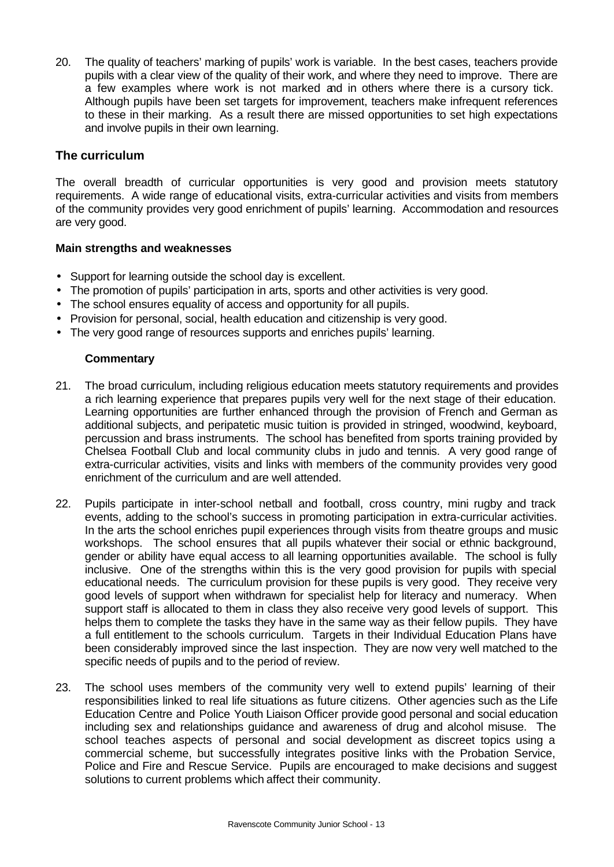20. The quality of teachers' marking of pupils' work is variable. In the best cases, teachers provide pupils with a clear view of the quality of their work, and where they need to improve. There are a few examples where work is not marked and in others where there is a cursory tick. Although pupils have been set targets for improvement, teachers make infrequent references to these in their marking. As a result there are missed opportunities to set high expectations and involve pupils in their own learning.

## **The curriculum**

The overall breadth of curricular opportunities is very good and provision meets statutory requirements. A wide range of educational visits, extra-curricular activities and visits from members of the community provides very good enrichment of pupils' learning. Accommodation and resources are very good.

### **Main strengths and weaknesses**

- Support for learning outside the school day is excellent.
- The promotion of pupils' participation in arts, sports and other activities is very good.
- The school ensures equality of access and opportunity for all pupils.
- Provision for personal, social, health education and citizenship is very good.
- The very good range of resources supports and enriches pupils' learning.

- 21. The broad curriculum, including religious education meets statutory requirements and provides a rich learning experience that prepares pupils very well for the next stage of their education. Learning opportunities are further enhanced through the provision of French and German as additional subjects, and peripatetic music tuition is provided in stringed, woodwind, keyboard, percussion and brass instruments. The school has benefited from sports training provided by Chelsea Football Club and local community clubs in judo and tennis. A very good range of extra-curricular activities, visits and links with members of the community provides very good enrichment of the curriculum and are well attended.
- 22. Pupils participate in inter-school netball and football, cross country, mini rugby and track events, adding to the school's success in promoting participation in extra-curricular activities. In the arts the school enriches pupil experiences through visits from theatre groups and music workshops. The school ensures that all pupils whatever their social or ethnic background, gender or ability have equal access to all learning opportunities available. The school is fully inclusive. One of the strengths within this is the very good provision for pupils with special educational needs. The curriculum provision for these pupils is very good. They receive very good levels of support when withdrawn for specialist help for literacy and numeracy. When support staff is allocated to them in class they also receive very good levels of support. This helps them to complete the tasks they have in the same way as their fellow pupils. They have a full entitlement to the schools curriculum. Targets in their Individual Education Plans have been considerably improved since the last inspection. They are now very well matched to the specific needs of pupils and to the period of review.
- 23. The school uses members of the community very well to extend pupils' learning of their responsibilities linked to real life situations as future citizens. Other agencies such as the Life Education Centre and Police Youth Liaison Officer provide good personal and social education including sex and relationships guidance and awareness of drug and alcohol misuse. The school teaches aspects of personal and social development as discreet topics using a commercial scheme, but successfully integrates positive links with the Probation Service, Police and Fire and Rescue Service. Pupils are encouraged to make decisions and suggest solutions to current problems which affect their community.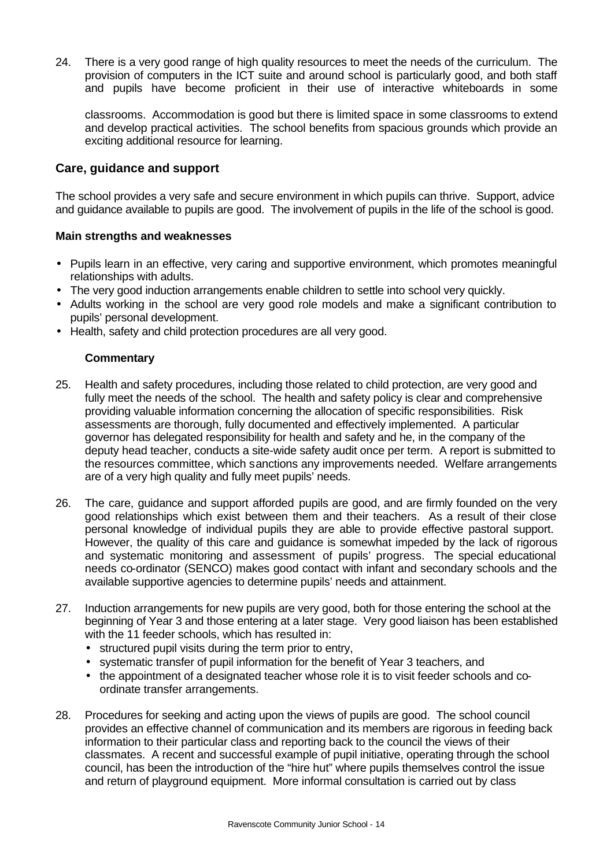24. There is a very good range of high quality resources to meet the needs of the curriculum. The provision of computers in the ICT suite and around school is particularly good, and both staff and pupils have become proficient in their use of interactive whiteboards in some

classrooms. Accommodation is good but there is limited space in some classrooms to extend and develop practical activities. The school benefits from spacious grounds which provide an exciting additional resource for learning.

### **Care, guidance and support**

The school provides a very safe and secure environment in which pupils can thrive. Support, advice and guidance available to pupils are good. The involvement of pupils in the life of the school is good.

#### **Main strengths and weaknesses**

- Pupils learn in an effective, very caring and supportive environment, which promotes meaningful relationships with adults.
- The very good induction arrangements enable children to settle into school very quickly.
- Adults working in the school are very good role models and make a significant contribution to pupils' personal development.
- Health, safety and child protection procedures are all very good.

- 25. Health and safety procedures, including those related to child protection, are very good and fully meet the needs of the school. The health and safety policy is clear and comprehensive providing valuable information concerning the allocation of specific responsibilities. Risk assessments are thorough, fully documented and effectively implemented. A particular governor has delegated responsibility for health and safety and he, in the company of the deputy head teacher, conducts a site-wide safety audit once per term. A report is submitted to the resources committee, which sanctions any improvements needed. Welfare arrangements are of a very high quality and fully meet pupils' needs.
- 26. The care, guidance and support afforded pupils are good, and are firmly founded on the very good relationships which exist between them and their teachers. As a result of their close personal knowledge of individual pupils they are able to provide effective pastoral support. However, the quality of this care and guidance is somewhat impeded by the lack of rigorous and systematic monitoring and assessment of pupils' progress. The special educational needs co-ordinator (SENCO) makes good contact with infant and secondary schools and the available supportive agencies to determine pupils' needs and attainment.
- 27. Induction arrangements for new pupils are very good, both for those entering the school at the beginning of Year 3 and those entering at a later stage. Very good liaison has been established with the 11 feeder schools, which has resulted in:
	- structured pupil visits during the term prior to entry,
	- systematic transfer of pupil information for the benefit of Year 3 teachers, and
	- the appointment of a designated teacher whose role it is to visit feeder schools and coordinate transfer arrangements.
- 28. Procedures for seeking and acting upon the views of pupils are good. The school council provides an effective channel of communication and its members are rigorous in feeding back information to their particular class and reporting back to the council the views of their classmates. A recent and successful example of pupil initiative, operating through the school council, has been the introduction of the "hire hut" where pupils themselves control the issue and return of playground equipment. More informal consultation is carried out by class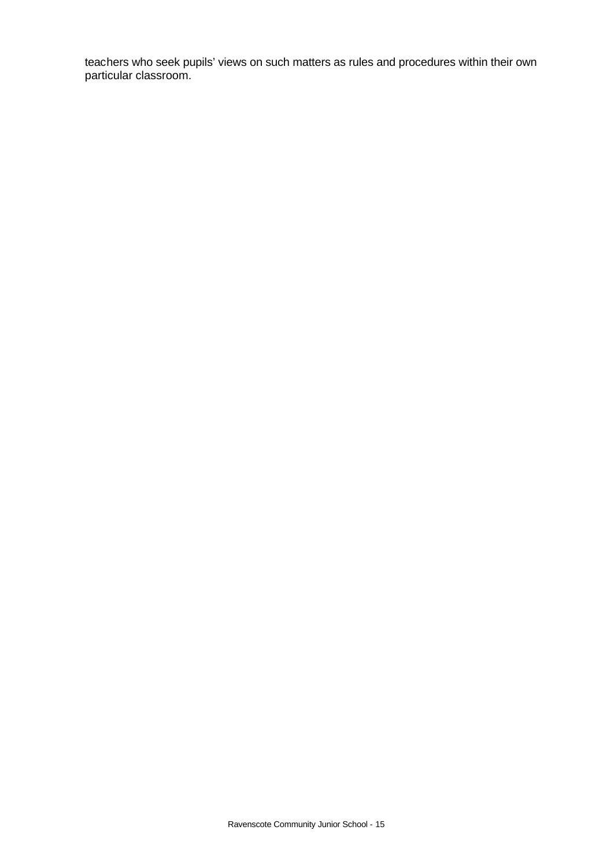teachers who seek pupils' views on such matters as rules and procedures within their own particular classroom.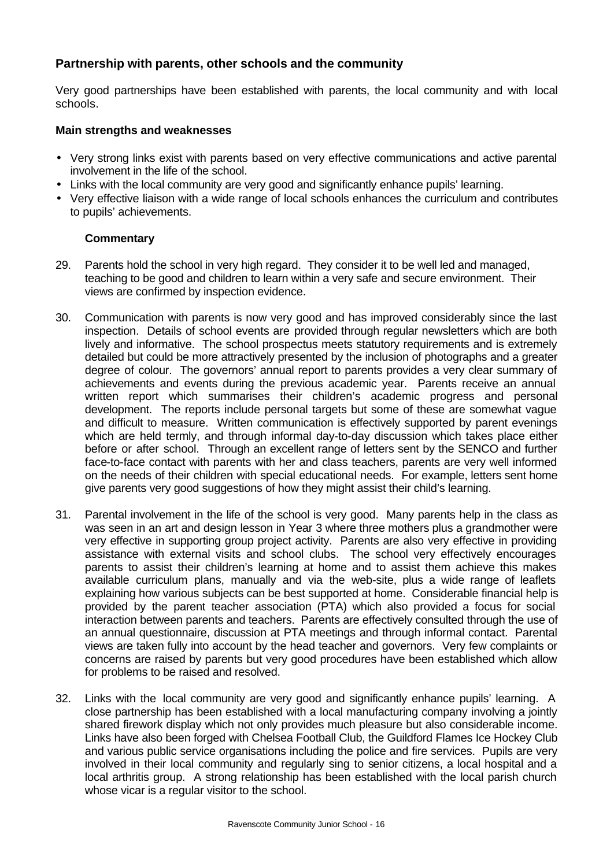## **Partnership with parents, other schools and the community**

Very good partnerships have been established with parents, the local community and with local schools.

#### **Main strengths and weaknesses**

- Very strong links exist with parents based on very effective communications and active parental involvement in the life of the school.
- Links with the local community are very good and significantly enhance pupils' learning.
- Very effective liaison with a wide range of local schools enhances the curriculum and contributes to pupils' achievements.

- 29. Parents hold the school in very high regard. They consider it to be well led and managed, teaching to be good and children to learn within a very safe and secure environment. Their views are confirmed by inspection evidence.
- 30. Communication with parents is now very good and has improved considerably since the last inspection. Details of school events are provided through regular newsletters which are both lively and informative. The school prospectus meets statutory requirements and is extremely detailed but could be more attractively presented by the inclusion of photographs and a greater degree of colour. The governors' annual report to parents provides a very clear summary of achievements and events during the previous academic year. Parents receive an annual written report which summarises their children's academic progress and personal development. The reports include personal targets but some of these are somewhat vague and difficult to measure. Written communication is effectively supported by parent evenings which are held termly, and through informal day-to-day discussion which takes place either before or after school. Through an excellent range of letters sent by the SENCO and further face-to-face contact with parents with her and class teachers, parents are very well informed on the needs of their children with special educational needs. For example, letters sent home give parents very good suggestions of how they might assist their child's learning.
- 31. Parental involvement in the life of the school is very good. Many parents help in the class as was seen in an art and design lesson in Year 3 where three mothers plus a grandmother were very effective in supporting group project activity. Parents are also very effective in providing assistance with external visits and school clubs. The school very effectively encourages parents to assist their children's learning at home and to assist them achieve this makes available curriculum plans, manually and via the web-site, plus a wide range of leaflets explaining how various subjects can be best supported at home. Considerable financial help is provided by the parent teacher association (PTA) which also provided a focus for social interaction between parents and teachers. Parents are effectively consulted through the use of an annual questionnaire, discussion at PTA meetings and through informal contact. Parental views are taken fully into account by the head teacher and governors. Very few complaints or concerns are raised by parents but very good procedures have been established which allow for problems to be raised and resolved.
- 32. Links with the local community are very good and significantly enhance pupils' learning. A close partnership has been established with a local manufacturing company involving a jointly shared firework display which not only provides much pleasure but also considerable income. Links have also been forged with Chelsea Football Club, the Guildford Flames Ice Hockey Club and various public service organisations including the police and fire services. Pupils are very involved in their local community and regularly sing to senior citizens, a local hospital and a local arthritis group. A strong relationship has been established with the local parish church whose vicar is a regular visitor to the school.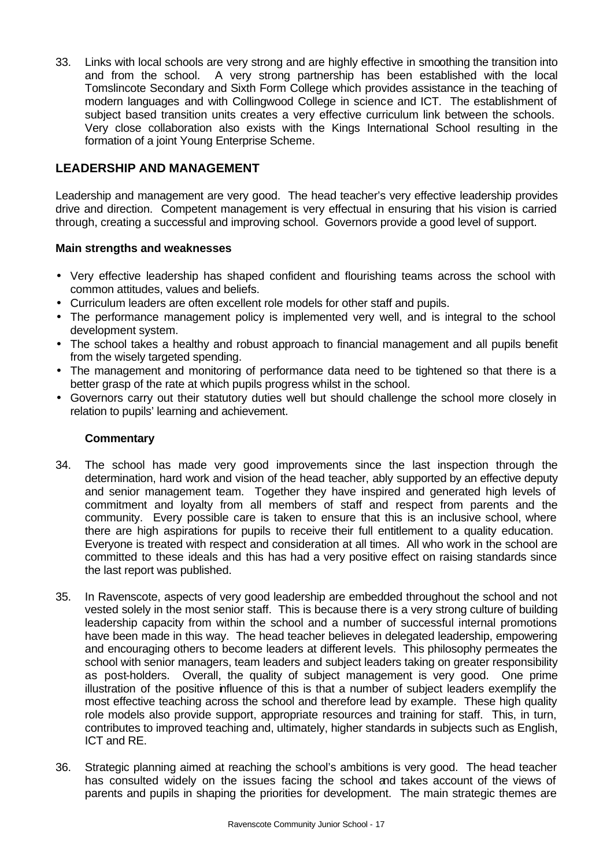33. Links with local schools are very strong and are highly effective in smoothing the transition into and from the school. A very strong partnership has been established with the local Tomslincote Secondary and Sixth Form College which provides assistance in the teaching of modern languages and with Collingwood College in science and ICT. The establishment of subject based transition units creates a very effective curriculum link between the schools. Very close collaboration also exists with the Kings International School resulting in the formation of a joint Young Enterprise Scheme.

## **LEADERSHIP AND MANAGEMENT**

Leadership and management are very good. The head teacher's very effective leadership provides drive and direction. Competent management is very effectual in ensuring that his vision is carried through, creating a successful and improving school. Governors provide a good level of support.

### **Main strengths and weaknesses**

- Very effective leadership has shaped confident and flourishing teams across the school with common attitudes, values and beliefs.
- Curriculum leaders are often excellent role models for other staff and pupils.
- The performance management policy is implemented very well, and is integral to the school development system.
- The school takes a healthy and robust approach to financial management and all pupils benefit from the wisely targeted spending.
- The management and monitoring of performance data need to be tightened so that there is a better grasp of the rate at which pupils progress whilst in the school.
- Governors carry out their statutory duties well but should challenge the school more closely in relation to pupils' learning and achievement.

- 34. The school has made very good improvements since the last inspection through the determination, hard work and vision of the head teacher, ably supported by an effective deputy and senior management team. Together they have inspired and generated high levels of commitment and loyalty from all members of staff and respect from parents and the community. Every possible care is taken to ensure that this is an inclusive school, where there are high aspirations for pupils to receive their full entitlement to a quality education. Everyone is treated with respect and consideration at all times. All who work in the school are committed to these ideals and this has had a very positive effect on raising standards since the last report was published.
- 35. In Ravenscote, aspects of very good leadership are embedded throughout the school and not vested solely in the most senior staff. This is because there is a very strong culture of building leadership capacity from within the school and a number of successful internal promotions have been made in this way. The head teacher believes in delegated leadership, empowering and encouraging others to become leaders at different levels. This philosophy permeates the school with senior managers, team leaders and subject leaders taking on greater responsibility as post-holders. Overall, the quality of subject management is very good. One prime illustration of the positive influence of this is that a number of subject leaders exemplify the most effective teaching across the school and therefore lead by example. These high quality role models also provide support, appropriate resources and training for staff. This, in turn, contributes to improved teaching and, ultimately, higher standards in subjects such as English, ICT and RE.
- 36. Strategic planning aimed at reaching the school's ambitions is very good. The head teacher has consulted widely on the issues facing the school and takes account of the views of parents and pupils in shaping the priorities for development. The main strategic themes are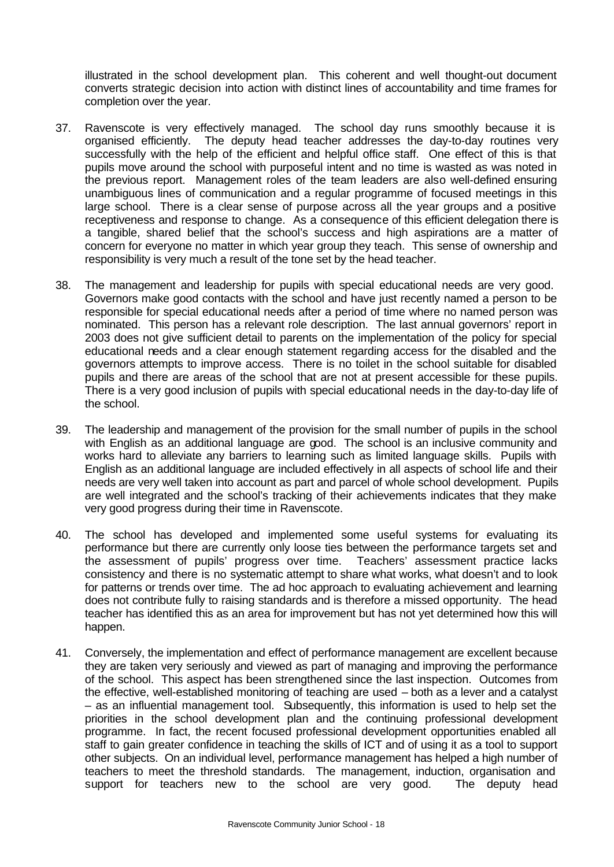illustrated in the school development plan. This coherent and well thought-out document converts strategic decision into action with distinct lines of accountability and time frames for completion over the year.

- 37. Ravenscote is very effectively managed. The school day runs smoothly because it is organised efficiently. The deputy head teacher addresses the day-to-day routines very successfully with the help of the efficient and helpful office staff. One effect of this is that pupils move around the school with purposeful intent and no time is wasted as was noted in the previous report. Management roles of the team leaders are also well-defined ensuring unambiguous lines of communication and a regular programme of focused meetings in this large school. There is a clear sense of purpose across all the year groups and a positive receptiveness and response to change. As a consequence of this efficient delegation there is a tangible, shared belief that the school's success and high aspirations are a matter of concern for everyone no matter in which year group they teach. This sense of ownership and responsibility is very much a result of the tone set by the head teacher.
- 38. The management and leadership for pupils with special educational needs are very good. Governors make good contacts with the school and have just recently named a person to be responsible for special educational needs after a period of time where no named person was nominated. This person has a relevant role description. The last annual governors' report in 2003 does not give sufficient detail to parents on the implementation of the policy for special educational needs and a clear enough statement regarding access for the disabled and the governors attempts to improve access. There is no toilet in the school suitable for disabled pupils and there are areas of the school that are not at present accessible for these pupils. There is a very good inclusion of pupils with special educational needs in the day-to-day life of the school.
- 39. The leadership and management of the provision for the small number of pupils in the school with English as an additional language are good. The school is an inclusive community and works hard to alleviate any barriers to learning such as limited language skills. Pupils with English as an additional language are included effectively in all aspects of school life and their needs are very well taken into account as part and parcel of whole school development. Pupils are well integrated and the school's tracking of their achievements indicates that they make very good progress during their time in Ravenscote.
- 40. The school has developed and implemented some useful systems for evaluating its performance but there are currently only loose ties between the performance targets set and the assessment of pupils' progress over time. Teachers' assessment practice lacks consistency and there is no systematic attempt to share what works, what doesn't and to look for patterns or trends over time. The ad hoc approach to evaluating achievement and learning does not contribute fully to raising standards and is therefore a missed opportunity. The head teacher has identified this as an area for improvement but has not yet determined how this will happen.
- 41. Conversely, the implementation and effect of performance management are excellent because they are taken very seriously and viewed as part of managing and improving the performance of the school. This aspect has been strengthened since the last inspection. Outcomes from the effective, well-established monitoring of teaching are used – both as a lever and a catalyst – as an influential management tool. Subsequently, this information is used to help set the priorities in the school development plan and the continuing professional development programme. In fact, the recent focused professional development opportunities enabled all staff to gain greater confidence in teaching the skills of ICT and of using it as a tool to support other subjects. On an individual level, performance management has helped a high number of teachers to meet the threshold standards. The management, induction, organisation and support for teachers new to the school are very good. The deputy head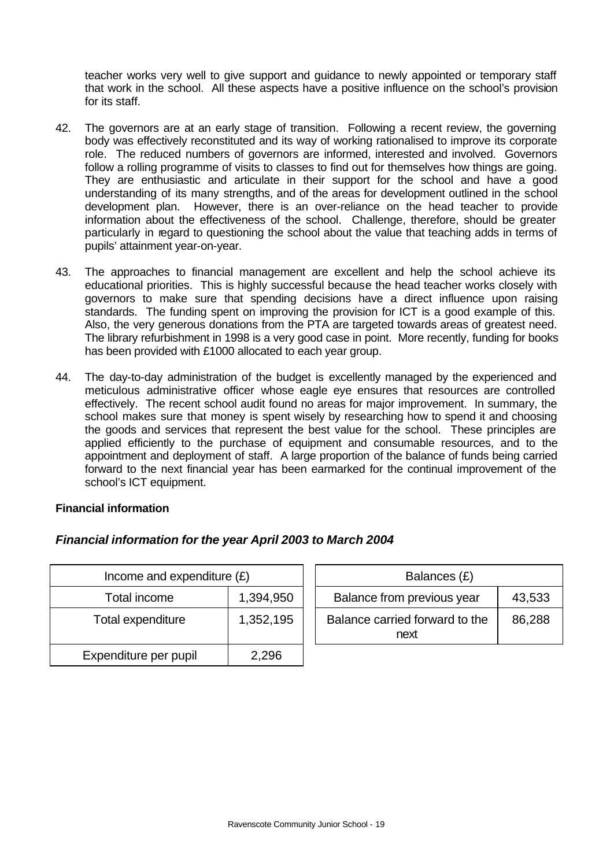teacher works very well to give support and guidance to newly appointed or temporary staff that work in the school. All these aspects have a positive influence on the school's provision for its staff.

- 42. The governors are at an early stage of transition. Following a recent review, the governing body was effectively reconstituted and its way of working rationalised to improve its corporate role. The reduced numbers of governors are informed, interested and involved. Governors follow a rolling programme of visits to classes to find out for themselves how things are going. They are enthusiastic and articulate in their support for the school and have a good understanding of its many strengths, and of the areas for development outlined in the school development plan.However, there is an over-reliance on the head teacher to provide information about the effectiveness of the school. Challenge, therefore, should be greater particularly in regard to questioning the school about the value that teaching adds in terms of pupils' attainment year-on-year.
- 43. The approaches to financial management are excellent and help the school achieve its educational priorities. This is highly successful because the head teacher works closely with governors to make sure that spending decisions have a direct influence upon raising standards. The funding spent on improving the provision for ICT is a good example of this. Also, the very generous donations from the PTA are targeted towards areas of greatest need. The library refurbishment in 1998 is a very good case in point. More recently, funding for books has been provided with £1000 allocated to each year group.
- 44. The day-to-day administration of the budget is excellently managed by the experienced and meticulous administrative officer whose eagle eye ensures that resources are controlled effectively. The recent school audit found no areas for major improvement. In summary, the school makes sure that money is spent wisely by researching how to spend it and choosing the goods and services that represent the best value for the school. These principles are applied efficiently to the purchase of equipment and consumable resources, and to the appointment and deployment of staff. A large proportion of the balance of funds being carried forward to the next financial year has been earmarked for the continual improvement of the school's ICT equipment.

#### **Financial information**

## *Financial information for the year April 2003 to March 2004*

| Income and expenditure $(E)$ |           |  | Balances (£)                           |
|------------------------------|-----------|--|----------------------------------------|
| Total income                 | 1,394,950 |  | Balance from previous year             |
| Total expenditure            | 1,352,195 |  | Balance carried forward to the<br>next |
| Expenditure per pupil        | 2,296     |  |                                        |

| Income and expenditure $(E)$ |           | Balances (£)                           |        |
|------------------------------|-----------|----------------------------------------|--------|
| Total income                 | 1,394,950 | Balance from previous year             | 43,533 |
| tal expenditure              | 1,352,195 | Balance carried forward to the<br>next | 86,288 |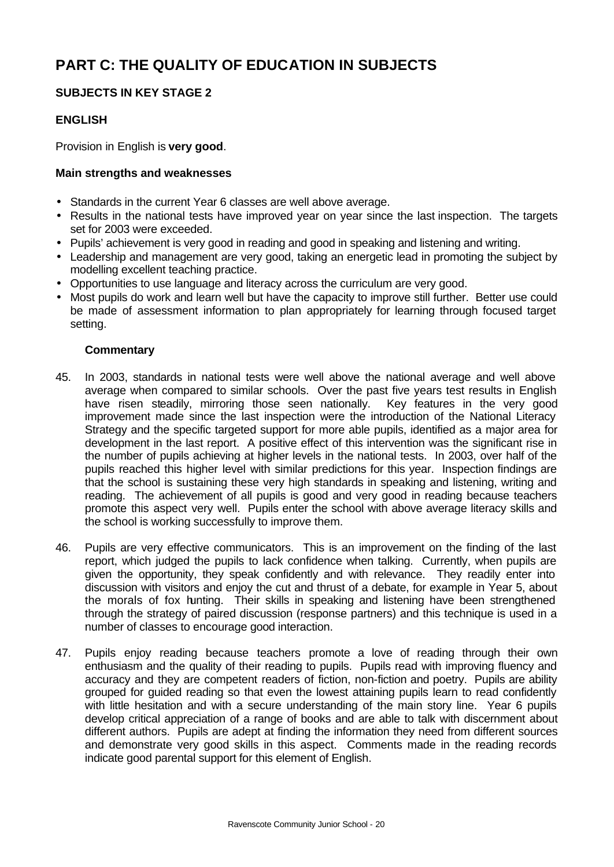# **PART C: THE QUALITY OF EDUCATION IN SUBJECTS**

## **SUBJECTS IN KEY STAGE 2**

## **ENGLISH**

Provision in English is **very good**.

### **Main strengths and weaknesses**

- Standards in the current Year 6 classes are well above average.
- Results in the national tests have improved year on year since the last inspection. The targets set for 2003 were exceeded.
- Pupils' achievement is very good in reading and good in speaking and listening and writing.
- Leadership and management are very good, taking an energetic lead in promoting the subject by modelling excellent teaching practice.
- Opportunities to use language and literacy across the curriculum are very good.
- Most pupils do work and learn well but have the capacity to improve still further. Better use could be made of assessment information to plan appropriately for learning through focused target setting.

- 45. In 2003, standards in national tests were well above the national average and well above average when compared to similar schools. Over the past five years test results in English have risen steadily, mirroring those seen nationally. Key features in the very good improvement made since the last inspection were the introduction of the National Literacy Strategy and the specific targeted support for more able pupils, identified as a major area for development in the last report. A positive effect of this intervention was the significant rise in the number of pupils achieving at higher levels in the national tests. In 2003, over half of the pupils reached this higher level with similar predictions for this year. Inspection findings are that the school is sustaining these very high standards in speaking and listening, writing and reading. The achievement of all pupils is good and very good in reading because teachers promote this aspect very well. Pupils enter the school with above average literacy skills and the school is working successfully to improve them.
- 46. Pupils are very effective communicators. This is an improvement on the finding of the last report, which judged the pupils to lack confidence when talking. Currently, when pupils are given the opportunity, they speak confidently and with relevance. They readily enter into discussion with visitors and enjoy the cut and thrust of a debate, for example in Year 5, about the morals of fox hunting. Their skills in speaking and listening have been strengthened through the strategy of paired discussion (response partners) and this technique is used in a number of classes to encourage good interaction.
- 47. Pupils enjoy reading because teachers promote a love of reading through their own enthusiasm and the quality of their reading to pupils. Pupils read with improving fluency and accuracy and they are competent readers of fiction, non-fiction and poetry. Pupils are ability grouped for guided reading so that even the lowest attaining pupils learn to read confidently with little hesitation and with a secure understanding of the main story line. Year 6 pupils develop critical appreciation of a range of books and are able to talk with discernment about different authors. Pupils are adept at finding the information they need from different sources and demonstrate very good skills in this aspect. Comments made in the reading records indicate good parental support for this element of English.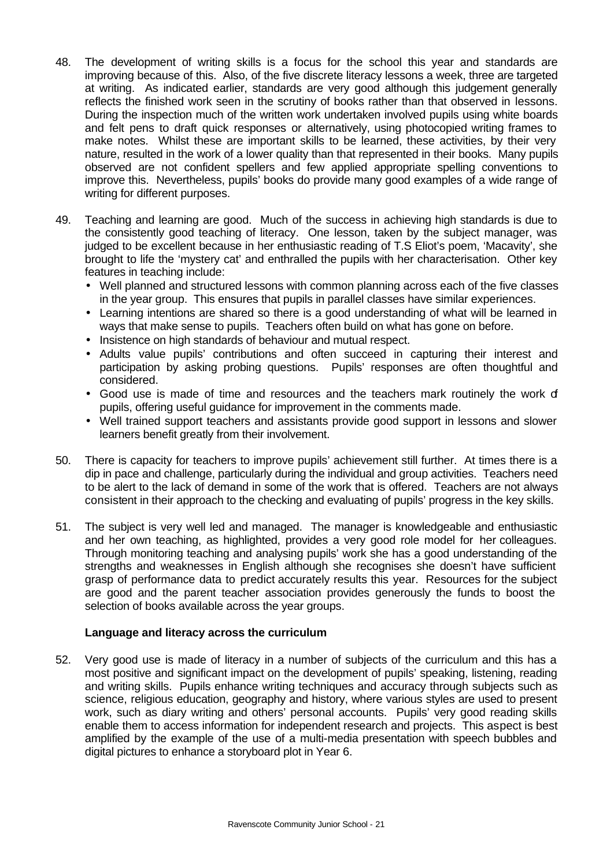- 48. The development of writing skills is a focus for the school this year and standards are improving because of this. Also, of the five discrete literacy lessons a week, three are targeted at writing. As indicated earlier, standards are very good although this judgement generally reflects the finished work seen in the scrutiny of books rather than that observed in lessons. During the inspection much of the written work undertaken involved pupils using white boards and felt pens to draft quick responses or alternatively, using photocopied writing frames to make notes. Whilst these are important skills to be learned, these activities, by their very nature, resulted in the work of a lower quality than that represented in their books. Many pupils observed are not confident spellers and few applied appropriate spelling conventions to improve this. Nevertheless, pupils' books do provide many good examples of a wide range of writing for different purposes.
- 49. Teaching and learning are good. Much of the success in achieving high standards is due to the consistently good teaching of literacy. One lesson, taken by the subject manager, was judged to be excellent because in her enthusiastic reading of T.S Eliot's poem, 'Macavity', she brought to life the 'mystery cat' and enthralled the pupils with her characterisation. Other key features in teaching include:
	- Well planned and structured lessons with common planning across each of the five classes in the year group. This ensures that pupils in parallel classes have similar experiences.
	- Learning intentions are shared so there is a good understanding of what will be learned in ways that make sense to pupils. Teachers often build on what has gone on before.
	- Insistence on high standards of behaviour and mutual respect.
	- Adults value pupils' contributions and often succeed in capturing their interest and participation by asking probing questions. Pupils' responses are often thoughtful and considered.
	- Good use is made of time and resources and the teachers mark routinely the work of pupils, offering useful guidance for improvement in the comments made.
	- Well trained support teachers and assistants provide good support in lessons and slower learners benefit greatly from their involvement.
- 50. There is capacity for teachers to improve pupils' achievement still further. At times there is a dip in pace and challenge, particularly during the individual and group activities. Teachers need to be alert to the lack of demand in some of the work that is offered. Teachers are not always consistent in their approach to the checking and evaluating of pupils' progress in the key skills.
- 51. The subject is very well led and managed. The manager is knowledgeable and enthusiastic and her own teaching, as highlighted, provides a very good role model for her colleagues. Through monitoring teaching and analysing pupils' work she has a good understanding of the strengths and weaknesses in English although she recognises she doesn't have sufficient grasp of performance data to predict accurately results this year. Resources for the subject are good and the parent teacher association provides generously the funds to boost the selection of books available across the year groups.

#### **Language and literacy across the curriculum**

52. Very good use is made of literacy in a number of subjects of the curriculum and this has a most positive and significant impact on the development of pupils' speaking, listening, reading and writing skills. Pupils enhance writing techniques and accuracy through subjects such as science, religious education, geography and history, where various styles are used to present work, such as diary writing and others' personal accounts. Pupils' very good reading skills enable them to access information for independent research and projects. This aspect is best amplified by the example of the use of a multi-media presentation with speech bubbles and digital pictures to enhance a storyboard plot in Year 6.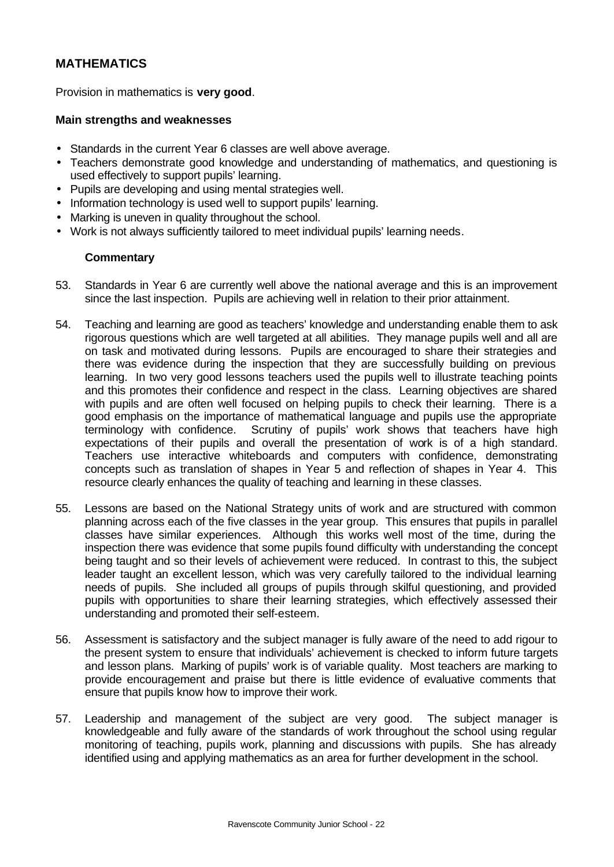## **MATHEMATICS**

Provision in mathematics is **very good**.

#### **Main strengths and weaknesses**

- Standards in the current Year 6 classes are well above average.
- Teachers demonstrate good knowledge and understanding of mathematics, and questioning is used effectively to support pupils' learning.
- Pupils are developing and using mental strategies well.
- Information technology is used well to support pupils' learning.
- Marking is uneven in quality throughout the school.
- Work is not always sufficiently tailored to meet individual pupils' learning needs.

- 53. Standards in Year 6 are currently well above the national average and this is an improvement since the last inspection. Pupils are achieving well in relation to their prior attainment.
- 54. Teaching and learning are good as teachers' knowledge and understanding enable them to ask rigorous questions which are well targeted at all abilities. They manage pupils well and all are on task and motivated during lessons. Pupils are encouraged to share their strategies and there was evidence during the inspection that they are successfully building on previous learning. In two very good lessons teachers used the pupils well to illustrate teaching points and this promotes their confidence and respect in the class. Learning objectives are shared with pupils and are often well focused on helping pupils to check their learning. There is a good emphasis on the importance of mathematical language and pupils use the appropriate terminology with confidence. Scrutiny of pupils' work shows that teachers have high expectations of their pupils and overall the presentation of work is of a high standard. Teachers use interactive whiteboards and computers with confidence, demonstrating concepts such as translation of shapes in Year 5 and reflection of shapes in Year 4. This resource clearly enhances the quality of teaching and learning in these classes.
- 55. Lessons are based on the National Strategy units of work and are structured with common planning across each of the five classes in the year group. This ensures that pupils in parallel classes have similar experiences. Although this works well most of the time, during the inspection there was evidence that some pupils found difficulty with understanding the concept being taught and so their levels of achievement were reduced. In contrast to this, the subject leader taught an excellent lesson, which was very carefully tailored to the individual learning needs of pupils. She included all groups of pupils through skilful questioning, and provided pupils with opportunities to share their learning strategies, which effectively assessed their understanding and promoted their self-esteem.
- 56. Assessment is satisfactory and the subject manager is fully aware of the need to add rigour to the present system to ensure that individuals' achievement is checked to inform future targets and lesson plans. Marking of pupils' work is of variable quality. Most teachers are marking to provide encouragement and praise but there is little evidence of evaluative comments that ensure that pupils know how to improve their work.
- 57. Leadership and management of the subject are very good. The subject manager is knowledgeable and fully aware of the standards of work throughout the school using regular monitoring of teaching, pupils work, planning and discussions with pupils. She has already identified using and applying mathematics as an area for further development in the school.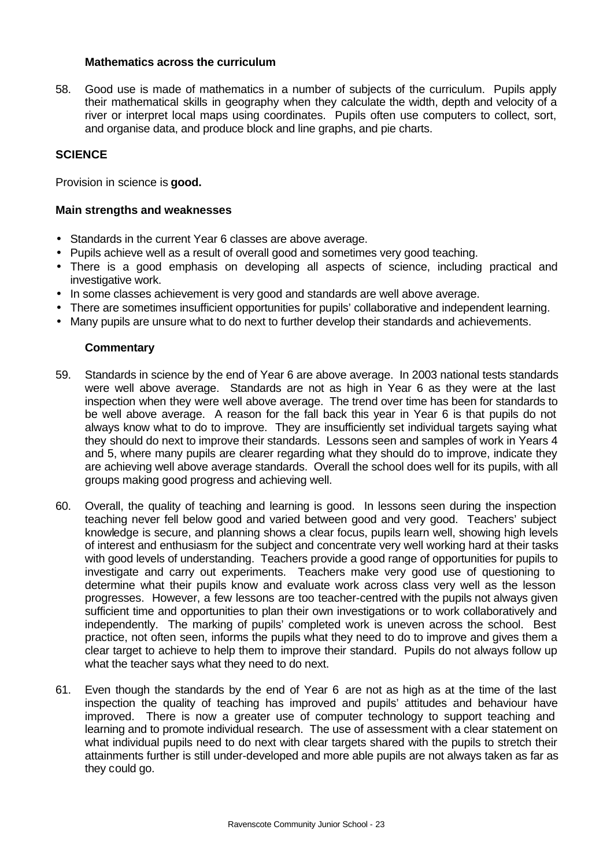#### **Mathematics across the curriculum**

58. Good use is made of mathematics in a number of subjects of the curriculum. Pupils apply their mathematical skills in geography when they calculate the width, depth and velocity of a river or interpret local maps using coordinates. Pupils often use computers to collect, sort, and organise data, and produce block and line graphs, and pie charts.

#### **SCIENCE**

Provision in science is **good.**

#### **Main strengths and weaknesses**

- Standards in the current Year 6 classes are above average.
- Pupils achieve well as a result of overall good and sometimes very good teaching.
- There is a good emphasis on developing all aspects of science, including practical and investigative work.
- In some classes achievement is very good and standards are well above average.
- There are sometimes insufficient opportunities for pupils' collaborative and independent learning.
- Many pupils are unsure what to do next to further develop their standards and achievements.

- 59. Standards in science by the end of Year 6 are above average. In 2003 national tests standards were well above average. Standards are not as high in Year 6 as they were at the last inspection when they were well above average. The trend over time has been for standards to be well above average. A reason for the fall back this year in Year 6 is that pupils do not always know what to do to improve. They are insufficiently set individual targets saying what they should do next to improve their standards. Lessons seen and samples of work in Years 4 and 5, where many pupils are clearer regarding what they should do to improve, indicate they are achieving well above average standards. Overall the school does well for its pupils, with all groups making good progress and achieving well.
- 60. Overall, the quality of teaching and learning is good. In lessons seen during the inspection teaching never fell below good and varied between good and very good. Teachers' subject knowledge is secure, and planning shows a clear focus, pupils learn well, showing high levels of interest and enthusiasm for the subject and concentrate very well working hard at their tasks with good levels of understanding. Teachers provide a good range of opportunities for pupils to investigate and carry out experiments. Teachers make very good use of questioning to determine what their pupils know and evaluate work across class very well as the lesson progresses. However, a few lessons are too teacher-centred with the pupils not always given sufficient time and opportunities to plan their own investigations or to work collaboratively and independently. The marking of pupils' completed work is uneven across the school. Best practice, not often seen, informs the pupils what they need to do to improve and gives them a clear target to achieve to help them to improve their standard. Pupils do not always follow up what the teacher says what they need to do next.
- 61. Even though the standards by the end of Year 6 are not as high as at the time of the last inspection the quality of teaching has improved and pupils' attitudes and behaviour have improved. There is now a greater use of computer technology to support teaching and learning and to promote individual research. The use of assessment with a clear statement on what individual pupils need to do next with clear targets shared with the pupils to stretch their attainments further is still under-developed and more able pupils are not always taken as far as they could go.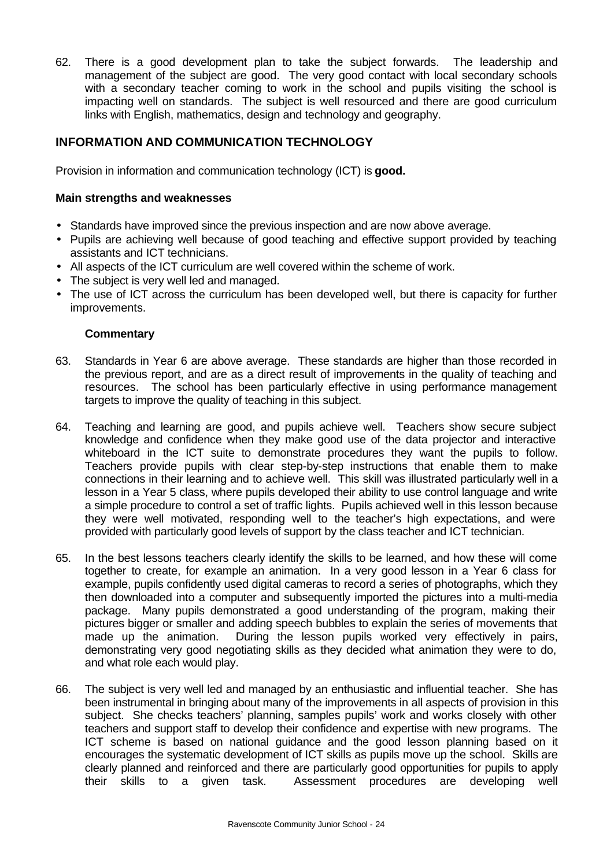62. There is a good development plan to take the subject forwards. The leadership and management of the subject are good. The very good contact with local secondary schools with a secondary teacher coming to work in the school and pupils visiting the school is impacting well on standards. The subject is well resourced and there are good curriculum links with English, mathematics, design and technology and geography.

## **INFORMATION AND COMMUNICATION TECHNOLOGY**

Provision in information and communication technology (ICT) is **good.**

#### **Main strengths and weaknesses**

- Standards have improved since the previous inspection and are now above average.
- Pupils are achieving well because of good teaching and effective support provided by teaching assistants and ICT technicians.
- All aspects of the ICT curriculum are well covered within the scheme of work.
- The subject is very well led and managed.
- The use of ICT across the curriculum has been developed well, but there is capacity for further improvements.

- 63. Standards in Year 6 are above average. These standards are higher than those recorded in the previous report, and are as a direct result of improvements in the quality of teaching and resources. The school has been particularly effective in using performance management targets to improve the quality of teaching in this subject.
- 64. Teaching and learning are good, and pupils achieve well. Teachers show secure subject knowledge and confidence when they make good use of the data projector and interactive whiteboard in the ICT suite to demonstrate procedures they want the pupils to follow. Teachers provide pupils with clear step-by-step instructions that enable them to make connections in their learning and to achieve well. This skill was illustrated particularly well in a lesson in a Year 5 class, where pupils developed their ability to use control language and write a simple procedure to control a set of traffic lights. Pupils achieved well in this lesson because they were well motivated, responding well to the teacher's high expectations, and were provided with particularly good levels of support by the class teacher and ICT technician.
- 65. In the best lessons teachers clearly identify the skills to be learned, and how these will come together to create, for example an animation. In a very good lesson in a Year 6 class for example, pupils confidently used digital cameras to record a series of photographs, which they then downloaded into a computer and subsequently imported the pictures into a multi-media package. Many pupils demonstrated a good understanding of the program, making their pictures bigger or smaller and adding speech bubbles to explain the series of movements that made up the animation. During the lesson pupils worked very effectively in pairs, demonstrating very good negotiating skills as they decided what animation they were to do, and what role each would play.
- 66. The subject is very well led and managed by an enthusiastic and influential teacher. She has been instrumental in bringing about many of the improvements in all aspects of provision in this subject. She checks teachers' planning, samples pupils' work and works closely with other teachers and support staff to develop their confidence and expertise with new programs. The ICT scheme is based on national guidance and the good lesson planning based on it encourages the systematic development of ICT skills as pupils move up the school. Skills are clearly planned and reinforced and there are particularly good opportunities for pupils to apply their skills to a given task. Assessment procedures are developing well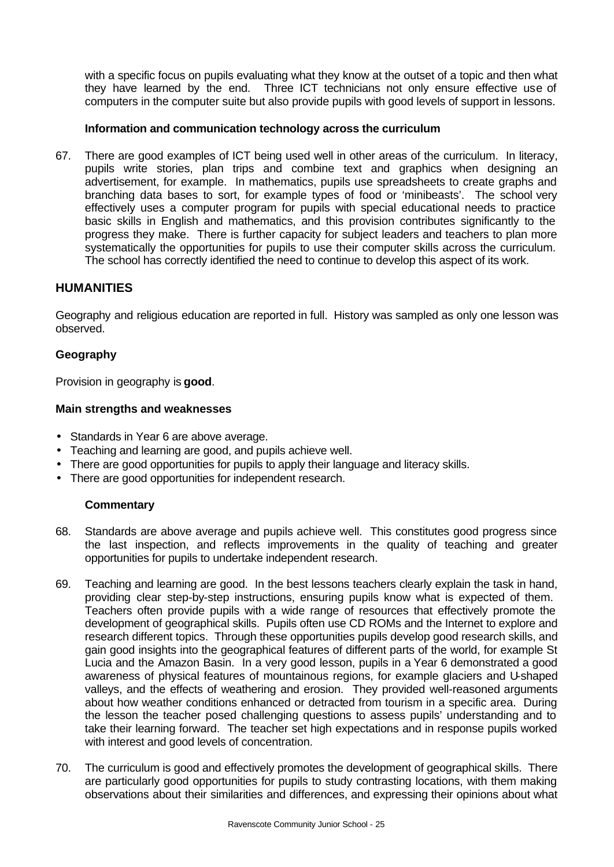with a specific focus on pupils evaluating what they know at the outset of a topic and then what they have learned by the end. Three ICT technicians not only ensure effective use of computers in the computer suite but also provide pupils with good levels of support in lessons.

#### **Information and communication technology across the curriculum**

67. There are good examples of ICT being used well in other areas of the curriculum. In literacy, pupils write stories, plan trips and combine text and graphics when designing an advertisement, for example. In mathematics, pupils use spreadsheets to create graphs and branching data bases to sort, for example types of food or 'minibeasts'. The school very effectively uses a computer program for pupils with special educational needs to practice basic skills in English and mathematics, and this provision contributes significantly to the progress they make. There is further capacity for subject leaders and teachers to plan more systematically the opportunities for pupils to use their computer skills across the curriculum. The school has correctly identified the need to continue to develop this aspect of its work.

#### **HUMANITIES**

Geography and religious education are reported in full. History was sampled as only one lesson was observed.

#### **Geography**

Provision in geography is **good**.

#### **Main strengths and weaknesses**

- Standards in Year 6 are above average.
- Teaching and learning are good, and pupils achieve well.
- There are good opportunities for pupils to apply their language and literacy skills.
- There are good opportunities for independent research.

- 68. Standards are above average and pupils achieve well. This constitutes good progress since the last inspection, and reflects improvements in the quality of teaching and greater opportunities for pupils to undertake independent research.
- 69. Teaching and learning are good. In the best lessons teachers clearly explain the task in hand, providing clear step-by-step instructions, ensuring pupils know what is expected of them. Teachers often provide pupils with a wide range of resources that effectively promote the development of geographical skills. Pupils often use CD ROMs and the Internet to explore and research different topics. Through these opportunities pupils develop good research skills, and gain good insights into the geographical features of different parts of the world, for example St Lucia and the Amazon Basin. In a very good lesson, pupils in a Year 6 demonstrated a good awareness of physical features of mountainous regions, for example glaciers and U-shaped valleys, and the effects of weathering and erosion. They provided well-reasoned arguments about how weather conditions enhanced or detracted from tourism in a specific area. During the lesson the teacher posed challenging questions to assess pupils' understanding and to take their learning forward. The teacher set high expectations and in response pupils worked with interest and good levels of concentration.
- 70. The curriculum is good and effectively promotes the development of geographical skills. There are particularly good opportunities for pupils to study contrasting locations, with them making observations about their similarities and differences, and expressing their opinions about what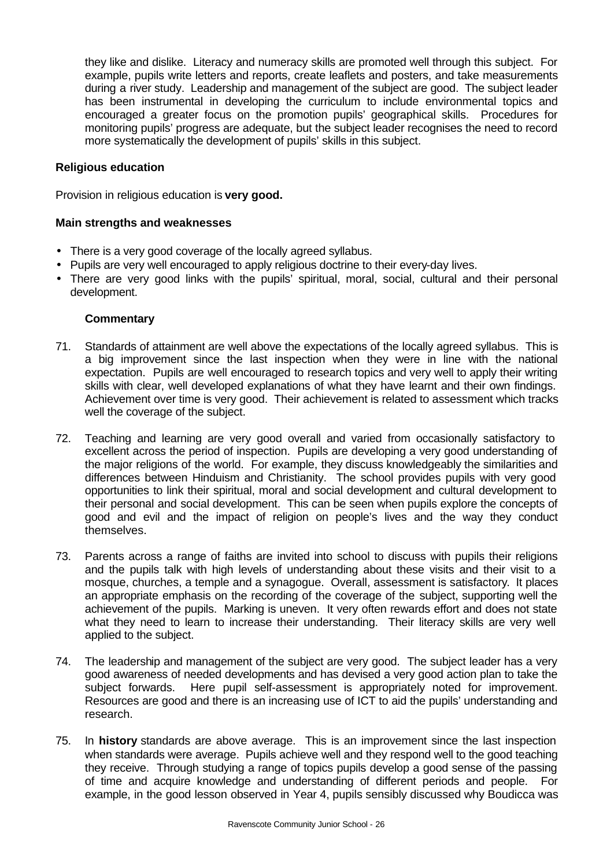they like and dislike. Literacy and numeracy skills are promoted well through this subject. For example, pupils write letters and reports, create leaflets and posters, and take measurements during a river study. Leadership and management of the subject are good. The subject leader has been instrumental in developing the curriculum to include environmental topics and encouraged a greater focus on the promotion pupils' geographical skills. Procedures for monitoring pupils' progress are adequate, but the subject leader recognises the need to record more systematically the development of pupils' skills in this subject.

#### **Religious education**

Provision in religious education is **very good.**

#### **Main strengths and weaknesses**

- There is a very good coverage of the locally agreed syllabus.
- Pupils are very well encouraged to apply religious doctrine to their every-day lives.
- There are very good links with the pupils' spiritual, moral, social, cultural and their personal development.

- 71. Standards of attainment are well above the expectations of the locally agreed syllabus. This is a big improvement since the last inspection when they were in line with the national expectation. Pupils are well encouraged to research topics and very well to apply their writing skills with clear, well developed explanations of what they have learnt and their own findings. Achievement over time is very good. Their achievement is related to assessment which tracks well the coverage of the subject.
- 72. Teaching and learning are very good overall and varied from occasionally satisfactory to excellent across the period of inspection. Pupils are developing a very good understanding of the major religions of the world. For example, they discuss knowledgeably the similarities and differences between Hinduism and Christianity. The school provides pupils with very good opportunities to link their spiritual, moral and social development and cultural development to their personal and social development. This can be seen when pupils explore the concepts of good and evil and the impact of religion on people's lives and the way they conduct themselves.
- 73. Parents across a range of faiths are invited into school to discuss with pupils their religions and the pupils talk with high levels of understanding about these visits and their visit to a mosque, churches, a temple and a synagogue. Overall, assessment is satisfactory. It places an appropriate emphasis on the recording of the coverage of the subject, supporting well the achievement of the pupils. Marking is uneven. It very often rewards effort and does not state what they need to learn to increase their understanding. Their literacy skills are very well applied to the subject.
- 74. The leadership and management of the subject are very good. The subject leader has a very good awareness of needed developments and has devised a very good action plan to take the subject forwards. Here pupil self-assessment is appropriately noted for improvement. Resources are good and there is an increasing use of ICT to aid the pupils' understanding and research.
- 75. In **history** standards are above average. This is an improvement since the last inspection when standards were average. Pupils achieve well and they respond well to the good teaching they receive. Through studying a range of topics pupils develop a good sense of the passing of time and acquire knowledge and understanding of different periods and people. For example, in the good lesson observed in Year 4, pupils sensibly discussed why Boudicca was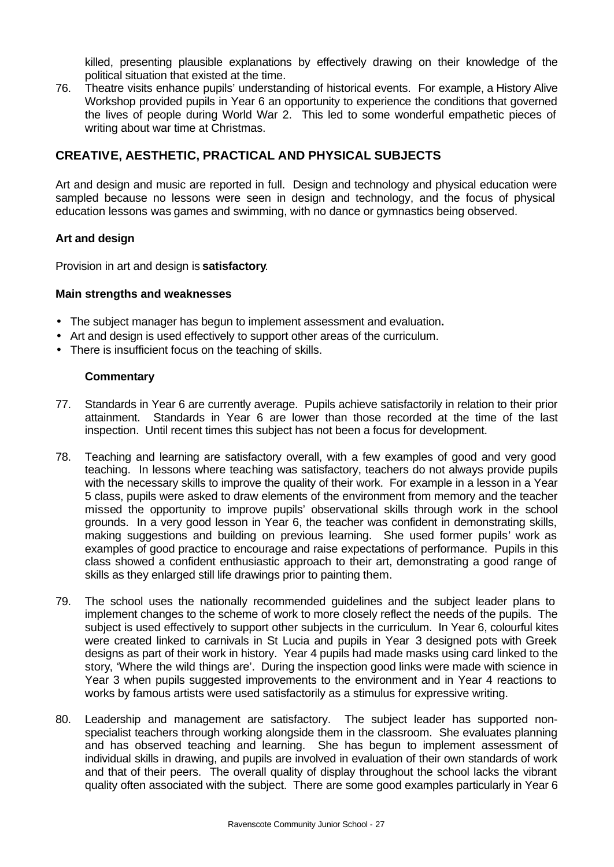killed, presenting plausible explanations by effectively drawing on their knowledge of the political situation that existed at the time.

76. Theatre visits enhance pupils' understanding of historical events. For example, a History Alive Workshop provided pupils in Year 6 an opportunity to experience the conditions that governed the lives of people during World War 2. This led to some wonderful empathetic pieces of writing about war time at Christmas.

## **CREATIVE, AESTHETIC, PRACTICAL AND PHYSICAL SUBJECTS**

Art and design and music are reported in full. Design and technology and physical education were sampled because no lessons were seen in design and technology, and the focus of physical education lessons was games and swimming, with no dance or gymnastics being observed.

#### **Art and design**

Provision in art and design is **satisfactory**.

#### **Main strengths and weaknesses**

- The subject manager has begun to implement assessment and evaluation**.**
- Art and design is used effectively to support other areas of the curriculum.
- There is insufficient focus on the teaching of skills.

- 77. Standards in Year 6 are currently average. Pupils achieve satisfactorily in relation to their prior attainment. Standards in Year 6 are lower than those recorded at the time of the last inspection. Until recent times this subject has not been a focus for development.
- 78. Teaching and learning are satisfactory overall, with a few examples of good and very good teaching. In lessons where teaching was satisfactory, teachers do not always provide pupils with the necessary skills to improve the quality of their work. For example in a lesson in a Year 5 class, pupils were asked to draw elements of the environment from memory and the teacher missed the opportunity to improve pupils' observational skills through work in the school grounds. In a very good lesson in Year 6, the teacher was confident in demonstrating skills, making suggestions and building on previous learning. She used former pupils' work as examples of good practice to encourage and raise expectations of performance. Pupils in this class showed a confident enthusiastic approach to their art, demonstrating a good range of skills as they enlarged still life drawings prior to painting them.
- 79. The school uses the nationally recommended guidelines and the subject leader plans to implement changes to the scheme of work to more closely reflect the needs of the pupils. The subject is used effectively to support other subjects in the curriculum. In Year 6, colourful kites were created linked to carnivals in St Lucia and pupils in Year 3 designed pots with Greek designs as part of their work in history. Year 4 pupils had made masks using card linked to the story, 'Where the wild things are'. During the inspection good links were made with science in Year 3 when pupils suggested improvements to the environment and in Year 4 reactions to works by famous artists were used satisfactorily as a stimulus for expressive writing.
- 80. Leadership and management are satisfactory. The subject leader has supported nonspecialist teachers through working alongside them in the classroom. She evaluates planning and has observed teaching and learning. She has begun to implement assessment of individual skills in drawing, and pupils are involved in evaluation of their own standards of work and that of their peers. The overall quality of display throughout the school lacks the vibrant quality often associated with the subject. There are some good examples particularly in Year 6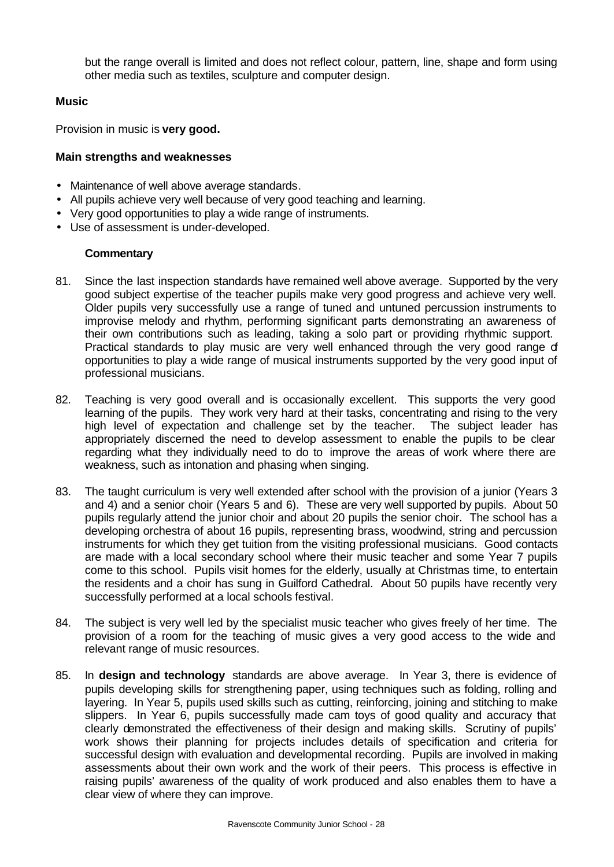but the range overall is limited and does not reflect colour, pattern, line, shape and form using other media such as textiles, sculpture and computer design.

#### **Music**

Provision in music is **very good.**

### **Main strengths and weaknesses**

- Maintenance of well above average standards.
- All pupils achieve very well because of very good teaching and learning.
- Very good opportunities to play a wide range of instruments.
- Use of assessment is under-developed.

- 81. Since the last inspection standards have remained well above average. Supported by the very good subject expertise of the teacher pupils make very good progress and achieve very well. Older pupils very successfully use a range of tuned and untuned percussion instruments to improvise melody and rhythm, performing significant parts demonstrating an awareness of their own contributions such as leading, taking a solo part or providing rhythmic support. Practical standards to play music are very well enhanced through the very good range of opportunities to play a wide range of musical instruments supported by the very good input of professional musicians.
- 82. Teaching is very good overall and is occasionally excellent. This supports the very good learning of the pupils. They work very hard at their tasks, concentrating and rising to the very high level of expectation and challenge set by the teacher. The subject leader has appropriately discerned the need to develop assessment to enable the pupils to be clear regarding what they individually need to do to improve the areas of work where there are weakness, such as intonation and phasing when singing.
- 83. The taught curriculum is very well extended after school with the provision of a junior (Years 3 and 4) and a senior choir (Years 5 and 6). These are very well supported by pupils. About 50 pupils regularly attend the junior choir and about 20 pupils the senior choir. The school has a developing orchestra of about 16 pupils, representing brass, woodwind, string and percussion instruments for which they get tuition from the visiting professional musicians. Good contacts are made with a local secondary school where their music teacher and some Year 7 pupils come to this school. Pupils visit homes for the elderly, usually at Christmas time, to entertain the residents and a choir has sung in Guilford Cathedral. About 50 pupils have recently very successfully performed at a local schools festival.
- 84. The subject is very well led by the specialist music teacher who gives freely of her time. The provision of a room for the teaching of music gives a very good access to the wide and relevant range of music resources.
- 85. In **design and technology** standards are above average.In Year 3, there is evidence of pupils developing skills for strengthening paper, using techniques such as folding, rolling and layering. In Year 5, pupils used skills such as cutting, reinforcing, joining and stitching to make slippers. In Year 6, pupils successfully made cam toys of good quality and accuracy that clearly demonstrated the effectiveness of their design and making skills. Scrutiny of pupils' work shows their planning for projects includes details of specification and criteria for successful design with evaluation and developmental recording. Pupils are involved in making assessments about their own work and the work of their peers. This process is effective in raising pupils' awareness of the quality of work produced and also enables them to have a clear view of where they can improve.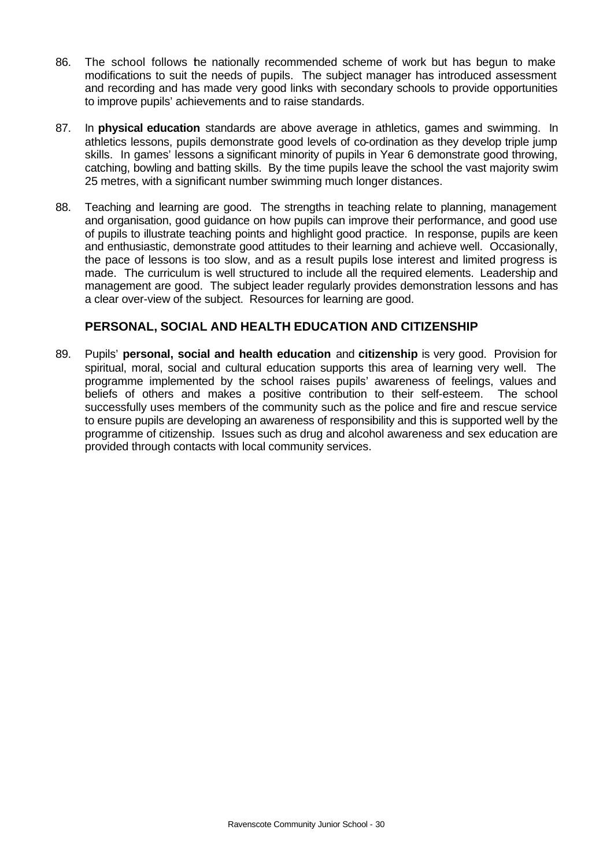- 86. The school follows the nationally recommended scheme of work but has begun to make modifications to suit the needs of pupils. The subject manager has introduced assessment and recording and has made very good links with secondary schools to provide opportunities to improve pupils' achievements and to raise standards.
- 87. In **physical education** standards are above average in athletics, games and swimming. In athletics lessons, pupils demonstrate good levels of co-ordination as they develop triple jump skills. In games' lessons a significant minority of pupils in Year 6 demonstrate good throwing, catching, bowling and batting skills. By the time pupils leave the school the vast majority swim 25 metres, with a significant number swimming much longer distances.
- 88. Teaching and learning are good. The strengths in teaching relate to planning, management and organisation, good guidance on how pupils can improve their performance, and good use of pupils to illustrate teaching points and highlight good practice. In response, pupils are keen and enthusiastic, demonstrate good attitudes to their learning and achieve well. Occasionally, the pace of lessons is too slow, and as a result pupils lose interest and limited progress is made. The curriculum is well structured to include all the required elements. Leadership and management are good. The subject leader regularly provides demonstration lessons and has a clear over-view of the subject. Resources for learning are good.

## **PERSONAL, SOCIAL AND HEALTH EDUCATION AND CITIZENSHIP**

89. Pupils' **personal, social and health education** and **citizenship** is very good. Provision for spiritual, moral, social and cultural education supports this area of learning very well. The programme implemented by the school raises pupils' awareness of feelings, values and beliefs of others and makes a positive contribution to their self-esteem. The school successfully uses members of the community such as the police and fire and rescue service to ensure pupils are developing an awareness of responsibility and this is supported well by the programme of citizenship. Issues such as drug and alcohol awareness and sex education are provided through contacts with local community services.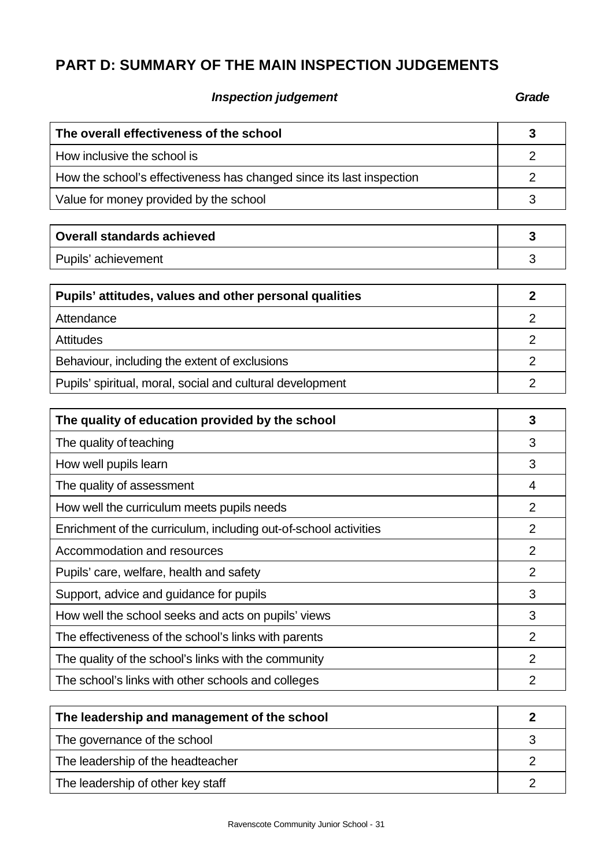# **PART D: SUMMARY OF THE MAIN INSPECTION JUDGEMENTS**

# **Inspection judgement Grade**

| The overall effectiveness of the school                              | 3              |
|----------------------------------------------------------------------|----------------|
| How inclusive the school is                                          | $\overline{2}$ |
| How the school's effectiveness has changed since its last inspection | $\overline{2}$ |
| Value for money provided by the school                               | 3              |
|                                                                      |                |
| <b>Overall standards achieved</b>                                    | 3              |
| Pupils' achievement                                                  | 3              |
| Pupils' attitudes, values and other personal qualities               | $\overline{2}$ |
| Attendance                                                           | $\overline{2}$ |
| <b>Attitudes</b>                                                     | $\overline{2}$ |
| Behaviour, including the extent of exclusions                        | $\overline{2}$ |
| Pupils' spiritual, moral, social and cultural development            | $\overline{2}$ |
|                                                                      |                |
| The quality of education provided by the school                      | 3              |
| The quality of teaching                                              | 3              |
| How well pupils learn                                                | 3              |
| The quality of assessment                                            | 4              |
| How well the curriculum meets pupils needs                           | $\overline{2}$ |
| Enrichment of the curriculum, including out-of-school activities     | $\overline{2}$ |
| Accommodation and resources                                          | $\overline{2}$ |
| Pupils' care, welfare, health and safety                             | $\overline{2}$ |
| Support, advice and guidance for pupils                              | 3              |
| How well the school seeks and acts on pupils' views                  | 3              |
| The effectiveness of the school's links with parents                 | 2              |
| The quality of the school's links with the community                 | $\overline{2}$ |
| The school's links with other schools and colleges                   | $\overline{2}$ |
|                                                                      |                |
| The leadership and management of the school                          | $\overline{2}$ |
| The governance of the school                                         | 3              |
| The leadership of the headteacher                                    | $\overline{2}$ |
| The leadership of other key staff                                    | $\overline{2}$ |